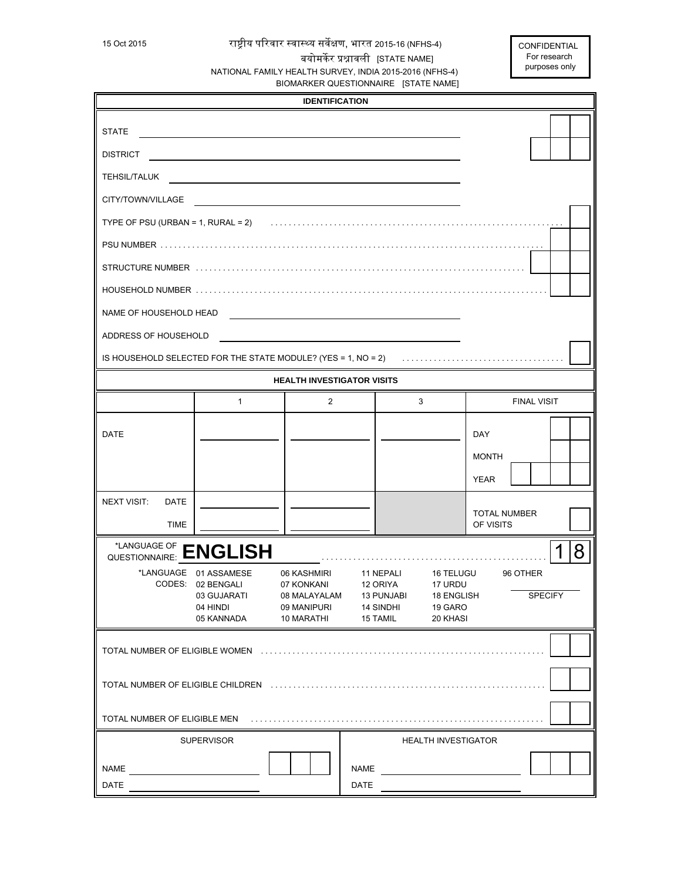## 15 Oct 2015 रा᳦ीय पिरवार स्वास्थ्य सवᱷक्षण, भारत 2015-16 (NFHS-4) बयोमर्केर प्रश्नावली [STATE NAME] NATIONAL FAMILY HEALTH SURVEY, INDIA 2015-2016 (NFHS-4) BIOMARKER QUESTIONNAIRE [STATE NAME]

| <b>IDENTIFICATION</b>                                                                                           |                                                                                     |                                                                        |                                                                            |                                                           |                                  |
|-----------------------------------------------------------------------------------------------------------------|-------------------------------------------------------------------------------------|------------------------------------------------------------------------|----------------------------------------------------------------------------|-----------------------------------------------------------|----------------------------------|
| <b>STATE</b>                                                                                                    |                                                                                     |                                                                        |                                                                            |                                                           |                                  |
| <b>DISTRICT</b>                                                                                                 |                                                                                     |                                                                        |                                                                            |                                                           |                                  |
| <b>TEHSIL/TALUK</b>                                                                                             |                                                                                     |                                                                        |                                                                            |                                                           |                                  |
| CITY/TOWN/VILLAGE                                                                                               |                                                                                     |                                                                        |                                                                            |                                                           |                                  |
|                                                                                                                 |                                                                                     |                                                                        |                                                                            |                                                           |                                  |
|                                                                                                                 |                                                                                     |                                                                        |                                                                            |                                                           |                                  |
|                                                                                                                 |                                                                                     |                                                                        |                                                                            |                                                           |                                  |
|                                                                                                                 |                                                                                     |                                                                        |                                                                            |                                                           |                                  |
| NAME OF HOUSEHOLD HEAD                                                                                          |                                                                                     |                                                                        |                                                                            |                                                           |                                  |
| ADDRESS OF HOUSEHOLD                                                                                            |                                                                                     |                                                                        |                                                                            |                                                           |                                  |
|                                                                                                                 |                                                                                     |                                                                        |                                                                            |                                                           |                                  |
|                                                                                                                 |                                                                                     | <b>HEALTH INVESTIGATOR VISITS</b>                                      |                                                                            |                                                           |                                  |
|                                                                                                                 | $\mathbf{1}$                                                                        | $\overline{2}$                                                         |                                                                            | 3                                                         | <b>FINAL VISIT</b>               |
| DATE                                                                                                            |                                                                                     |                                                                        |                                                                            |                                                           | <b>DAY</b>                       |
|                                                                                                                 |                                                                                     |                                                                        |                                                                            |                                                           | <b>MONTH</b>                     |
|                                                                                                                 |                                                                                     |                                                                        |                                                                            |                                                           | <b>YEAR</b>                      |
| <b>NEXT VISIT:</b><br><b>DATE</b>                                                                               |                                                                                     |                                                                        |                                                                            |                                                           |                                  |
| <b>TIME</b>                                                                                                     |                                                                                     |                                                                        |                                                                            |                                                           | <b>TOTAL NUMBER</b><br>OF VISITS |
| TLANGUAGE OF <b>ENGLISH</b>                                                                                     |                                                                                     |                                                                        |                                                                            |                                                           | 8                                |
|                                                                                                                 | *LANGUAGE 01 ASSAMESE<br>CODES: 02 BENGALI<br>03 GUJARATI<br>04 HINDI<br>05 KANNADA | 06 KASHMIRI<br>07 KONKANI<br>08 MALAYALAM<br>09 MANIPURI<br>10 MARATHI | 11 NEPALI<br>12 ORIYA<br><b>13 PUNJABI</b><br><b>14 SINDHI</b><br>15 TAMIL | 16 TELUGU<br>17 URDU<br>18 ENGLISH<br>19 GARO<br>20 KHASI | 96 OTHER<br><b>SPECIFY</b>       |
| TOTAL NUMBER OF ELIGIBLE WOMEN (MALLER MALLER MALLER MALLER MALLER MALLER MALLER MALLER MALLER MALLER MALLER MA |                                                                                     |                                                                        |                                                                            |                                                           |                                  |
|                                                                                                                 |                                                                                     |                                                                        |                                                                            |                                                           |                                  |
|                                                                                                                 |                                                                                     |                                                                        |                                                                            |                                                           |                                  |
|                                                                                                                 | <b>SUPERVISOR</b>                                                                   |                                                                        |                                                                            | <b>HEALTH INVESTIGATOR</b>                                |                                  |
| <b>NAME</b>                                                                                                     |                                                                                     |                                                                        | NAME                                                                       |                                                           |                                  |
| DATE                                                                                                            |                                                                                     |                                                                        | DATE                                                                       |                                                           |                                  |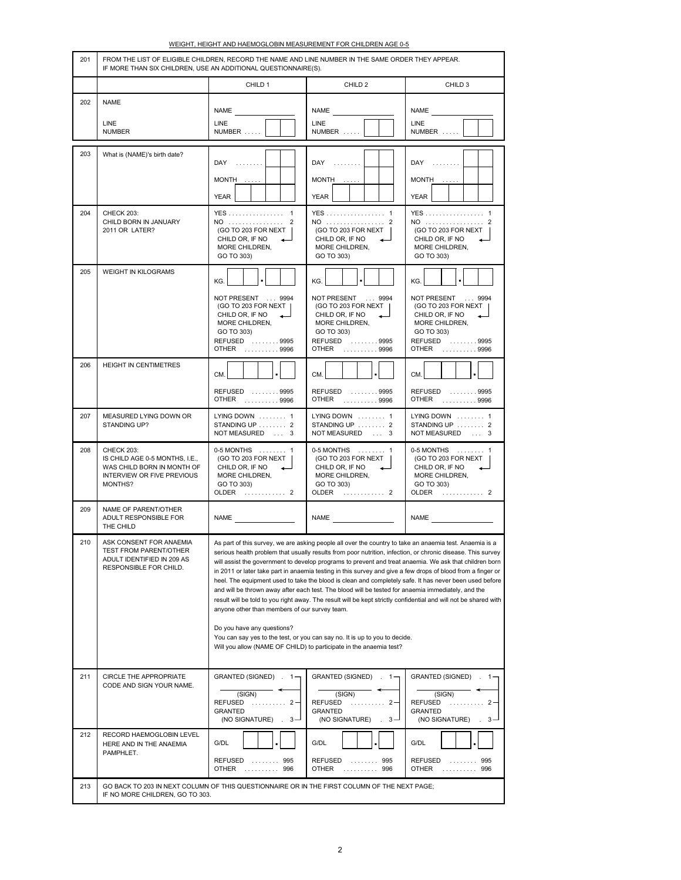| HEIGHT AND HAEMOGLOBIN MEASUREMENT FOR CHILDREN AGE 0-5 |  |
|---------------------------------------------------------|--|
|                                                         |  |
|                                                         |  |

| 201 | FROM THE LIST OF ELIGIBLE CHILDREN, RECORD THE NAME AND LINE NUMBER IN THE SAME ORDER THEY APPEAR.<br>IF MORE THAN SIX CHILDREN, USE AN ADDITIONAL QUESTIONNAIRE(S). |                                                                                                                                                                                                                                                                                                                                                                                                                                                                                                                                                                                                                                                                                                                                                                                                                                                                                                                                                                                                                        |                                                                                                                                     |                                                                                                                                   |  |
|-----|----------------------------------------------------------------------------------------------------------------------------------------------------------------------|------------------------------------------------------------------------------------------------------------------------------------------------------------------------------------------------------------------------------------------------------------------------------------------------------------------------------------------------------------------------------------------------------------------------------------------------------------------------------------------------------------------------------------------------------------------------------------------------------------------------------------------------------------------------------------------------------------------------------------------------------------------------------------------------------------------------------------------------------------------------------------------------------------------------------------------------------------------------------------------------------------------------|-------------------------------------------------------------------------------------------------------------------------------------|-----------------------------------------------------------------------------------------------------------------------------------|--|
|     |                                                                                                                                                                      | CHILD 1                                                                                                                                                                                                                                                                                                                                                                                                                                                                                                                                                                                                                                                                                                                                                                                                                                                                                                                                                                                                                | CHILD <sub>2</sub>                                                                                                                  | CHILD <sub>3</sub>                                                                                                                |  |
| 202 | <b>NAME</b><br><b>LINE</b><br><b>NUMBER</b>                                                                                                                          | <b>NAME</b><br>LINE<br>NUMBER                                                                                                                                                                                                                                                                                                                                                                                                                                                                                                                                                                                                                                                                                                                                                                                                                                                                                                                                                                                          | <b>NAME</b><br>LINE<br>NUMBER                                                                                                       | <b>NAME</b><br>LINE<br>NUMBER                                                                                                     |  |
| 203 | What is (NAME)'s birth date?                                                                                                                                         | $DAY$<br>MONTH<br>YEAR                                                                                                                                                                                                                                                                                                                                                                                                                                                                                                                                                                                                                                                                                                                                                                                                                                                                                                                                                                                                 | $DAY$<br>MONTH<br><b>YEAR</b>                                                                                                       | DAY<br>$MONTH$<br><b>YEAR</b>                                                                                                     |  |
| 204 | <b>CHECK 203:</b><br>CHILD BORN IN JANUARY<br>2011 OR LATER?                                                                                                         | YES 1<br>NO 2<br>(GO TO 203 FOR NEXT  <br>CHILD OR, IF NO<br>MORE CHILDREN,<br>GO TO 303)                                                                                                                                                                                                                                                                                                                                                                                                                                                                                                                                                                                                                                                                                                                                                                                                                                                                                                                              | YES 1<br>NO  2<br>(GO TO 203 FOR NEXT  <br>CHILD OR, IF NO<br>MORE CHILDREN,<br>GO TO 303)                                          | YES 1<br>NO  2<br>(GO TO 203 FOR NEXT  <br>CHILD OR, IF NO<br>MORE CHILDREN,<br>GO TO 303)                                        |  |
| 205 | <b>WEIGHT IN KILOGRAMS</b>                                                                                                                                           | KG.<br>NOT PRESENT  9994<br>(GO TO 203 FOR NEXT  <br>CHILD OR, IF NO<br>MORE CHILDREN,<br>GO TO 303)<br>REFUSED 9995<br>OTHER  9996                                                                                                                                                                                                                                                                                                                                                                                                                                                                                                                                                                                                                                                                                                                                                                                                                                                                                    | KG.<br>NOT PRESENT  9994<br>(GO TO 203 FOR NEXT  <br>CHILD OR, IF NO<br>MORE CHILDREN,<br>GO TO 303)<br>REFUSED 9995<br>OTHER  9996 | KG.<br>NOT PRESENT  9994<br>(GO TO 203 FOR NEXT<br>CHILD OR, IF NO<br>MORE CHILDREN,<br>GO TO 303)<br>REFUSED 9995<br>OTHER  9996 |  |
| 206 | HEIGHT IN CENTIMETRES                                                                                                                                                | CM.<br>REFUSED 9995<br>OTHER  9996                                                                                                                                                                                                                                                                                                                                                                                                                                                                                                                                                                                                                                                                                                                                                                                                                                                                                                                                                                                     | CM.<br>REFUSED 9995<br>OTHER  9996                                                                                                  | CM.<br>REFUSED  9995<br>OTHER  9996                                                                                               |  |
| 207 | MEASURED LYING DOWN OR<br>STANDING UP?                                                                                                                               | LYING DOWN  1<br>STANDING UP  2<br>NOT MEASURED  3                                                                                                                                                                                                                                                                                                                                                                                                                                                                                                                                                                                                                                                                                                                                                                                                                                                                                                                                                                     | LYING DOWN  1<br>STANDING UP  2<br>NOT MEASURED  3                                                                                  | LYING DOWN  1<br>STANDING UP  2<br>NOT MEASURED  3                                                                                |  |
| 208 | CHECK 203:<br>IS CHILD AGE 0-5 MONTHS, I.E.,<br>WAS CHILD BORN IN MONTH OF<br>INTERVIEW OR FIVE PREVIOUS<br>MONTHS?                                                  | 0-5 MONTHS  1<br>(GO TO 203 FOR NEXT  <br>CHILD OR, IF NO<br>$\leftarrow$<br>MORE CHILDREN,<br>GO TO 303)<br>OLDER  2                                                                                                                                                                                                                                                                                                                                                                                                                                                                                                                                                                                                                                                                                                                                                                                                                                                                                                  | 0-5 MONTHS  1<br>(GO TO 203 FOR NEXT<br>CHILD OR, IF NO<br>$\overline{\phantom{0}}$<br>MORE CHILDREN,<br>GO TO 303)<br>OLDER  2     | 0-5 MONTHS  1<br>(GO TO 203 FOR NEXT<br>CHILD OR, IF NO<br>$\leftarrow$<br>MORE CHILDREN,<br>GO TO 303)<br>OLDER  2               |  |
| 209 | NAME OF PARENT/OTHER<br>ADULT RESPONSIBLE FOR<br>THE CHILD                                                                                                           | NAME <b>NAME</b>                                                                                                                                                                                                                                                                                                                                                                                                                                                                                                                                                                                                                                                                                                                                                                                                                                                                                                                                                                                                       | NAME <b>NAME</b>                                                                                                                    | <b>NAME</b>                                                                                                                       |  |
| 210 | ASK CONSENT FOR ANAEMIA<br>TEST FROM PARENT/OTHER<br>ADULT IDENTIFIED IN 209 AS<br>RESPONSIBLE FOR CHILD.                                                            | As part of this survey, we are asking people all over the country to take an anaemia test. Anaemia is a<br>serious health problem that usually results from poor nutrition, infection, or chronic disease. This survey<br>will assist the government to develop programs to prevent and treat anaemia. We ask that children born<br>in 2011 or later take part in anaemia testing in this survey and give a few drops of blood from a finger or<br>heel. The equipment used to take the blood is clean and completely safe. It has never been used before<br>and will be thrown away after each test. The blood will be tested for anaemia immediately, and the<br>result will be told to you right away. The result will be kept strictly confidential and will not be shared with<br>anyone other than members of our survey team.<br>Do you have any questions?<br>You can say yes to the test, or you can say no. It is up to you to decide.<br>Will you allow (NAME OF CHILD) to participate in the anaemia test? |                                                                                                                                     |                                                                                                                                   |  |
| 211 | CIRCLE THE APPROPRIATE<br>CODE AND SIGN YOUR NAME.                                                                                                                   | GRANTED (SIGNED) . 1-<br>(SIGN)<br>REFUSED<br>. 2 -<br><b>GRANTED</b><br>(NO SIGNATURE).<br>$3 -$                                                                                                                                                                                                                                                                                                                                                                                                                                                                                                                                                                                                                                                                                                                                                                                                                                                                                                                      | GRANTED (SIGNED) . 1-<br>(SIGN)<br><b>REFUSED</b><br>$\ldots$ 2 –<br><b>GRANTED</b><br>(NO SIGNATURE).<br>$3 -$                     | GRANTED (SIGNED) . 1-<br>(SIGN)<br><b>REFUSED</b><br>$2 -$<br><b>GRANTED</b><br>(NO SIGNATURE)<br>$3 -$                           |  |
| 212 | RECORD HAEMOGLOBIN LEVEL<br>HERE AND IN THE ANAEMIA<br>PAMPHLET.                                                                                                     | G/DL<br>REFUSED<br>995<br>1.1.1.1.1.1.1.1<br>OTHER<br>996                                                                                                                                                                                                                                                                                                                                                                                                                                                                                                                                                                                                                                                                                                                                                                                                                                                                                                                                                              | G/DL<br><b>REFUSED</b><br>995<br>.<br><b>OTHER</b><br>996                                                                           | G/DL<br>995<br><b>REFUSED</b><br>.<br><b>OTHER</b><br>996                                                                         |  |
| 213 | GO BACK TO 203 IN NEXT COLUMN OF THIS QUESTIONNAIRE OR IN THE FIRST COLUMN OF THE NEXT PAGE;<br>IF NO MORE CHILDREN, GO TO 303.                                      |                                                                                                                                                                                                                                                                                                                                                                                                                                                                                                                                                                                                                                                                                                                                                                                                                                                                                                                                                                                                                        |                                                                                                                                     |                                                                                                                                   |  |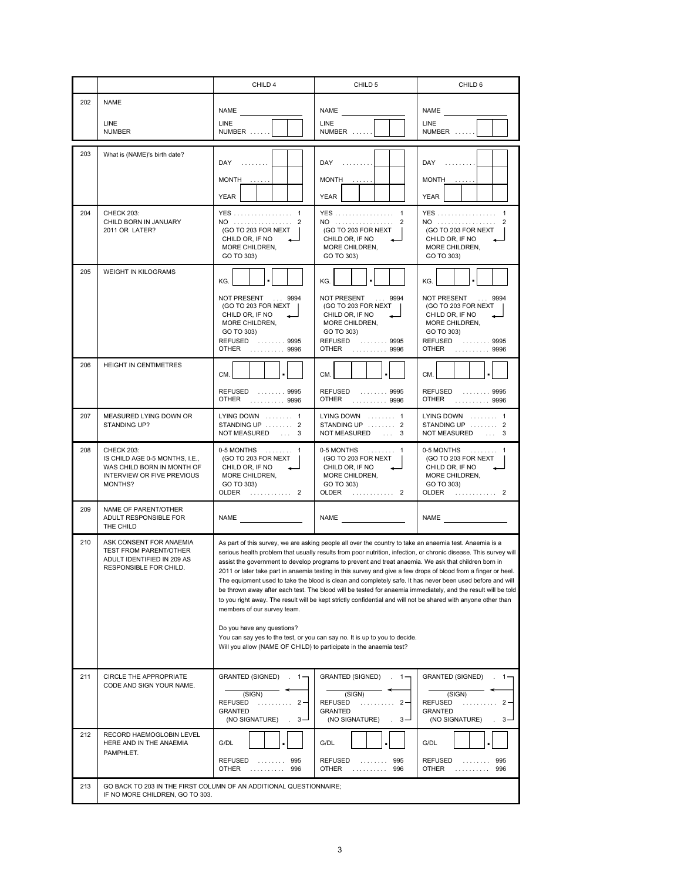|     |                                                                                                                            | CHILD 4                                                                                                                         | CHILD 5                                                                                                                                                                                                                                                                                                                                                                                                                                                                                                                                                                                                                                                                                                                                                                                                                                                                             | CHILD 6                                                                                                                     |
|-----|----------------------------------------------------------------------------------------------------------------------------|---------------------------------------------------------------------------------------------------------------------------------|-------------------------------------------------------------------------------------------------------------------------------------------------------------------------------------------------------------------------------------------------------------------------------------------------------------------------------------------------------------------------------------------------------------------------------------------------------------------------------------------------------------------------------------------------------------------------------------------------------------------------------------------------------------------------------------------------------------------------------------------------------------------------------------------------------------------------------------------------------------------------------------|-----------------------------------------------------------------------------------------------------------------------------|
| 202 | <b>NAME</b>                                                                                                                | <b>NAME</b>                                                                                                                     | <b>NAME</b>                                                                                                                                                                                                                                                                                                                                                                                                                                                                                                                                                                                                                                                                                                                                                                                                                                                                         | <b>NAME</b>                                                                                                                 |
|     | LINE<br><b>NUMBER</b>                                                                                                      | LINE<br>NUMBER                                                                                                                  | <b>LINE</b><br>NUMBER                                                                                                                                                                                                                                                                                                                                                                                                                                                                                                                                                                                                                                                                                                                                                                                                                                                               | <b>LINE</b><br>NUMBER                                                                                                       |
| 203 | What is (NAME)'s birth date?                                                                                               |                                                                                                                                 |                                                                                                                                                                                                                                                                                                                                                                                                                                                                                                                                                                                                                                                                                                                                                                                                                                                                                     |                                                                                                                             |
|     |                                                                                                                            | $DAY$                                                                                                                           | DAY                                                                                                                                                                                                                                                                                                                                                                                                                                                                                                                                                                                                                                                                                                                                                                                                                                                                                 | DAY                                                                                                                         |
|     |                                                                                                                            | $MONTH$                                                                                                                         | MONTH                                                                                                                                                                                                                                                                                                                                                                                                                                                                                                                                                                                                                                                                                                                                                                                                                                                                               | $MONTH$                                                                                                                     |
| 204 | <b>CHECK 203:</b>                                                                                                          | YEAR<br>YES 1                                                                                                                   | YEAR<br>YES 1                                                                                                                                                                                                                                                                                                                                                                                                                                                                                                                                                                                                                                                                                                                                                                                                                                                                       | YEAR<br>YES 1                                                                                                               |
|     | CHILD BORN IN JANUARY<br>2011 OR LATER?                                                                                    | NO  2<br>(GO TO 203 FOR NEXT<br>CHILD OR, IF NO<br>MORE CHILDREN,<br>GO TO 303)                                                 | NO  2<br>(GO TO 203 FOR NEXT<br>CHILD OR, IF NO<br>MORE CHILDREN,<br>GO TO 303)                                                                                                                                                                                                                                                                                                                                                                                                                                                                                                                                                                                                                                                                                                                                                                                                     | NO  2<br>(GO TO 203 FOR NEXT<br>CHILD OR, IF NO<br>MORE CHILDREN,<br>GO TO 303)                                             |
| 205 | <b>WEIGHT IN KILOGRAMS</b>                                                                                                 | KG.                                                                                                                             | KG.                                                                                                                                                                                                                                                                                                                                                                                                                                                                                                                                                                                                                                                                                                                                                                                                                                                                                 | KG.                                                                                                                         |
|     |                                                                                                                            | NOT PRESENT  9994<br>(GO TO 203 FOR NEXT<br>CHILD OR, IF NO<br>MORE CHILDREN,<br>GO TO 303)<br>REFUSED  9995<br>OTHER  9996     | NOT PRESENT<br>9994<br>(GO TO 203 FOR NEXT<br>CHILD OR, IF NO<br>MORE CHILDREN,<br>GO TO 303)<br>REFUSED  9995<br>OTHER<br>. 9996                                                                                                                                                                                                                                                                                                                                                                                                                                                                                                                                                                                                                                                                                                                                                   | NOT PRESENT  9994<br>(GO TO 203 FOR NEXT<br>CHILD OR, IF NO<br>MORE CHILDREN,<br>GO TO 303)<br>REFUSED  9995<br>OTHER  9996 |
| 206 | HEIGHT IN CENTIMETRES                                                                                                      | CM.                                                                                                                             | CM.                                                                                                                                                                                                                                                                                                                                                                                                                                                                                                                                                                                                                                                                                                                                                                                                                                                                                 | CM.                                                                                                                         |
|     |                                                                                                                            | REFUSED  9995<br>OTHER  9996                                                                                                    | REFUSED  9995<br>OTHER  9996                                                                                                                                                                                                                                                                                                                                                                                                                                                                                                                                                                                                                                                                                                                                                                                                                                                        | REFUSED  9995<br>OTHER  9996                                                                                                |
| 207 | MEASURED LYING DOWN OR<br>STANDING UP?                                                                                     | LYING DOWN  1<br>STANDING UP  2<br>NOT MEASURED  3                                                                              | LYING DOWN  1<br>STANDING UP  2<br>NOT MEASURED  3                                                                                                                                                                                                                                                                                                                                                                                                                                                                                                                                                                                                                                                                                                                                                                                                                                  | LYING DOWN  1<br>STANDING UP  2<br>NOT MEASURED  3                                                                          |
| 208 | <b>CHECK 203:</b><br>IS CHILD AGE 0-5 MONTHS, I.E.,<br>WAS CHILD BORN IN MONTH OF<br>INTERVIEW OR FIVE PREVIOUS<br>MONTHS? | 0-5 MONTHS  1<br>(GO TO 203 FOR NEXT<br>CHILD OR, IF NO<br>MORE CHILDREN,<br>GO TO 303)<br>OLDER  2                             | 0-5 MONTHS  1<br>(GO TO 203 FOR NEXT<br>CHILD OR, IF NO<br>MORE CHILDREN,<br>GO TO 303)<br>OLDER  2                                                                                                                                                                                                                                                                                                                                                                                                                                                                                                                                                                                                                                                                                                                                                                                 | 0-5 MONTHS  1<br>(GO TO 203 FOR NEXT<br>CHILD OR, IF NO<br>MORE CHILDREN,<br>GO TO 303)<br>OLDER  2                         |
| 209 | NAME OF PARENT/OTHER<br>ADULT RESPONSIBLE FOR<br>THE CHILD                                                                 | <b>NAME NAME</b>                                                                                                                | <b>NAME</b>                                                                                                                                                                                                                                                                                                                                                                                                                                                                                                                                                                                                                                                                                                                                                                                                                                                                         | NAME                                                                                                                        |
| 210 | ASK CONSENT FOR ANAEMIA<br>TEST FROM PARENT/OTHER<br>ADULT IDENTIFIED IN 209 AS<br>RESPONSIBLE FOR CHILD.                  | members of our survey team.<br>Do you have any questions?<br>Will you allow (NAME OF CHILD) to participate in the anaemia test? | As part of this survey, we are asking people all over the country to take an anaemia test. Anaemia is a<br>serious health problem that usually results from poor nutrition, infection, or chronic disease. This survey will<br>assist the government to develop programs to prevent and treat anaemia. We ask that children born in<br>2011 or later take part in anaemia testing in this survey and give a few drops of blood from a finger or heel.<br>The equipment used to take the blood is clean and completely safe. It has never been used before and will<br>be thrown away after each test. The blood will be tested for anaemia immediately, and the result will be told<br>to you right away. The result will be kept strictly confidential and will not be shared with anyone other than<br>You can say yes to the test, or you can say no. It is up to you to decide. |                                                                                                                             |
| 211 | <b>CIRCLE THE APPROPRIATE</b><br>CODE AND SIGN YOUR NAME.                                                                  | GRANTED (SIGNED) . 1-<br>(SIGN)<br><b>REFUSED</b><br>. 2 -<br><b>GRANTED</b>                                                    | <b>GRANTED (SIGNED)</b><br>$1 -$<br>(SIGN)<br>REFUSED<br>$^{2}$<br>.<br><b>GRANTED</b>                                                                                                                                                                                                                                                                                                                                                                                                                                                                                                                                                                                                                                                                                                                                                                                              | <b>GRANTED (SIGNED)</b><br>$\cdot$ 1-<br>(SIGN)<br><b>REFUSED</b><br>$\cdots$ 2<br>.                                        |
|     |                                                                                                                            | (NO SIGNATURE)<br>$3 -$                                                                                                         | (NO SIGNATURE)<br>$3 -$                                                                                                                                                                                                                                                                                                                                                                                                                                                                                                                                                                                                                                                                                                                                                                                                                                                             | <b>GRANTED</b><br>(NO SIGNATURE)<br>$3 -$                                                                                   |
| 212 | RECORD HAEMOGLOBIN LEVEL<br>HERE AND IN THE ANAEMIA                                                                        | G/DL                                                                                                                            | G/DL                                                                                                                                                                                                                                                                                                                                                                                                                                                                                                                                                                                                                                                                                                                                                                                                                                                                                | G/DL                                                                                                                        |
|     | PAMPHLET.                                                                                                                  | <b>REFUSED</b><br>995<br>.<br><b>OTHER</b><br>996<br>.                                                                          | REFUSED<br>995<br>.<br>OTHER<br>996<br>.                                                                                                                                                                                                                                                                                                                                                                                                                                                                                                                                                                                                                                                                                                                                                                                                                                            | <b>REFUSED</b><br>995<br>.<br><b>OTHER</b><br>. 996                                                                         |
| 213 | GO BACK TO 203 IN THE FIRST COLUMN OF AN ADDITIONAL QUESTIONNAIRE;<br>IF NO MORE CHILDREN, GO TO 303.                      |                                                                                                                                 |                                                                                                                                                                                                                                                                                                                                                                                                                                                                                                                                                                                                                                                                                                                                                                                                                                                                                     |                                                                                                                             |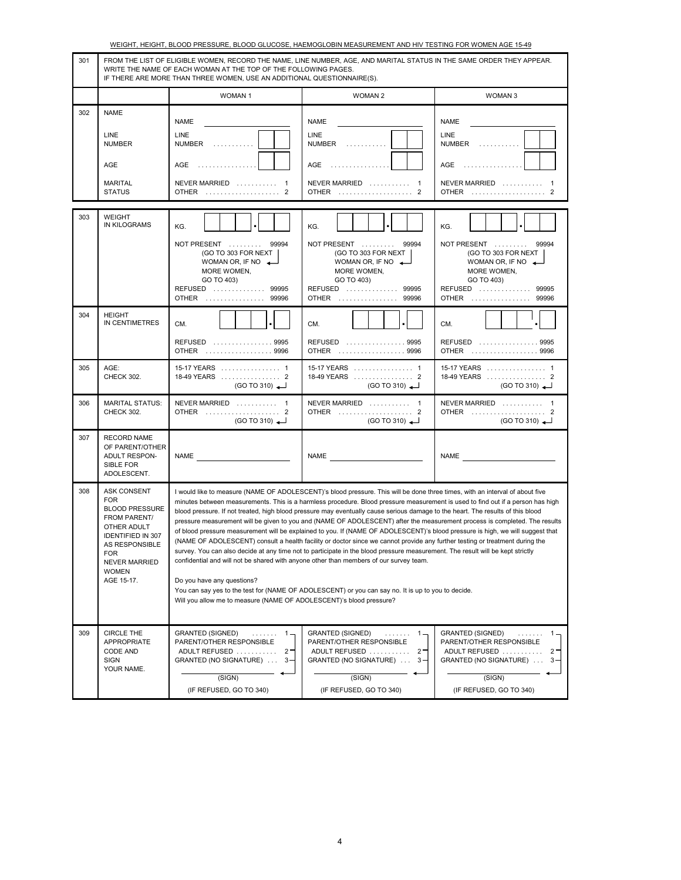|     |                                                                                                                                                                                                            |                                                                                                                                                                                                                                                                                                                                                                                                                                                                                                                                                                                                                                                                                                                                                                                                                                        | WEIGHT, HEIGHT, BLOOD PRESSURE, BLOOD GLUCOSE, HAEMOGLOBIN MEASUREMENT AND HIV TESTING FOR WOMEN AGE 15-49                                                                                                                                                                                                                                                                                      |                                                                                                                                                                     |  |  |  |
|-----|------------------------------------------------------------------------------------------------------------------------------------------------------------------------------------------------------------|----------------------------------------------------------------------------------------------------------------------------------------------------------------------------------------------------------------------------------------------------------------------------------------------------------------------------------------------------------------------------------------------------------------------------------------------------------------------------------------------------------------------------------------------------------------------------------------------------------------------------------------------------------------------------------------------------------------------------------------------------------------------------------------------------------------------------------------|-------------------------------------------------------------------------------------------------------------------------------------------------------------------------------------------------------------------------------------------------------------------------------------------------------------------------------------------------------------------------------------------------|---------------------------------------------------------------------------------------------------------------------------------------------------------------------|--|--|--|
| 301 |                                                                                                                                                                                                            | FROM THE LIST OF ELIGIBLE WOMEN, RECORD THE NAME, LINE NUMBER, AGE, AND MARITAL STATUS IN THE SAME ORDER THEY APPEAR.<br>WRITE THE NAME OF EACH WOMAN AT THE TOP OF THE FOLLOWING PAGES.<br>IF THERE ARE MORE THAN THREE WOMEN, USE AN ADDITIONAL QUESTIONNAIRE(S).                                                                                                                                                                                                                                                                                                                                                                                                                                                                                                                                                                    |                                                                                                                                                                                                                                                                                                                                                                                                 |                                                                                                                                                                     |  |  |  |
|     |                                                                                                                                                                                                            | <b>WOMAN1</b>                                                                                                                                                                                                                                                                                                                                                                                                                                                                                                                                                                                                                                                                                                                                                                                                                          | <b>WOMAN 2</b>                                                                                                                                                                                                                                                                                                                                                                                  | WOMAN 3                                                                                                                                                             |  |  |  |
| 302 | <b>NAME</b>                                                                                                                                                                                                | <b>NAME</b>                                                                                                                                                                                                                                                                                                                                                                                                                                                                                                                                                                                                                                                                                                                                                                                                                            | <b>NAME</b>                                                                                                                                                                                                                                                                                                                                                                                     | <b>NAME</b>                                                                                                                                                         |  |  |  |
|     | LINE<br><b>NUMBER</b>                                                                                                                                                                                      | LINE<br>NUMBER<br>.                                                                                                                                                                                                                                                                                                                                                                                                                                                                                                                                                                                                                                                                                                                                                                                                                    | LINE<br>NUMBER                                                                                                                                                                                                                                                                                                                                                                                  | LINE<br>NUMBER                                                                                                                                                      |  |  |  |
|     | <b>AGE</b>                                                                                                                                                                                                 | .<br>AGE                                                                                                                                                                                                                                                                                                                                                                                                                                                                                                                                                                                                                                                                                                                                                                                                                               | AGE<br>.                                                                                                                                                                                                                                                                                                                                                                                        | AGE<br>.                                                                                                                                                            |  |  |  |
|     | <b>MARITAL</b><br><b>STATUS</b>                                                                                                                                                                            | NEVER MARRIED  1<br>OTHER  2                                                                                                                                                                                                                                                                                                                                                                                                                                                                                                                                                                                                                                                                                                                                                                                                           | NEVER MARRIED  1<br>OTHER  2                                                                                                                                                                                                                                                                                                                                                                    | NEVER MARRIED  1<br>OTHER  2                                                                                                                                        |  |  |  |
| 303 | WEIGHT<br><b>IN KILOGRAMS</b>                                                                                                                                                                              | KG.                                                                                                                                                                                                                                                                                                                                                                                                                                                                                                                                                                                                                                                                                                                                                                                                                                    | KG.                                                                                                                                                                                                                                                                                                                                                                                             | KG.                                                                                                                                                                 |  |  |  |
|     |                                                                                                                                                                                                            | NOT PRESENT<br>99994<br>(GO TO 303 FOR NEXT<br>WOMAN OR, IF NO $\leftarrow$<br>MORE WOMEN,<br>GO TO 403)<br>99995<br><b>REFUSED</b><br><b>OTHER</b><br>99996                                                                                                                                                                                                                                                                                                                                                                                                                                                                                                                                                                                                                                                                           | NOT PRESENT<br>99994<br>(GO TO 303 FOR NEXT<br>WOMAN OR, IF NO $\leftarrow$<br>MORE WOMEN,<br>GO TO 403)<br>REFUSED  99995<br><b>OTHER</b><br>99996                                                                                                                                                                                                                                             | NOT PRESENT<br>99994<br>(GO TO 303 FOR NEXT<br>WOMAN OR, IF NO $\leftarrow$<br>MORE WOMEN,<br>GO TO 403)<br>REFUSED  99995<br><b>OTHER</b><br>99996                 |  |  |  |
| 304 | <b>HEIGHT</b><br>IN CENTIMETRES                                                                                                                                                                            | CM.<br>REFUSED  9995<br>. 9996<br>OTHER                                                                                                                                                                                                                                                                                                                                                                                                                                                                                                                                                                                                                                                                                                                                                                                                | CM.<br>REFUSED  9995<br><b>OTHER</b><br>. 9996                                                                                                                                                                                                                                                                                                                                                  | CM.<br>REFUSED  9995<br><b>OTHER</b><br>. 9996                                                                                                                      |  |  |  |
| 305 | AGE:<br><b>CHECK 302.</b>                                                                                                                                                                                  | 15-17 YEARS  1<br>18-49 YEARS  2<br>(GO TO 310)                                                                                                                                                                                                                                                                                                                                                                                                                                                                                                                                                                                                                                                                                                                                                                                        | 15-17 YEARS  1<br>18-49 YEARS  2<br>(GO TO 310)                                                                                                                                                                                                                                                                                                                                                 | 15-17 YEARS  1<br>18-49 YEARS  2<br>(GO TO 310)                                                                                                                     |  |  |  |
| 306 | <b>MARITAL STATUS:</b><br>CHECK 302.                                                                                                                                                                       | NEVER MARRIED  1<br>OTHER  2<br>(GO TO 310)                                                                                                                                                                                                                                                                                                                                                                                                                                                                                                                                                                                                                                                                                                                                                                                            | NEVER MARRIED  1<br>OTHER  2<br>(GO TO 310)                                                                                                                                                                                                                                                                                                                                                     | NEVER MARRIED  1<br>OTHER  2<br>(GO TO 310)                                                                                                                         |  |  |  |
| 307 | <b>RECORD NAME</b><br>OF PARENT/OTHER<br><b>ADULT RESPON-</b><br>SIBLE FOR<br>ADOLESCENT.                                                                                                                  | NAME                                                                                                                                                                                                                                                                                                                                                                                                                                                                                                                                                                                                                                                                                                                                                                                                                                   | <b>NAME</b>                                                                                                                                                                                                                                                                                                                                                                                     | NAME                                                                                                                                                                |  |  |  |
| 308 | <b>ASK CONSENT</b><br><b>FOR</b><br><b>BLOOD PRESSURE</b><br>FROM PARENT/<br>OTHER ADULT<br><b>IDENTIFIED IN 307</b><br>AS RESPONSIBLE<br><b>FOR</b><br><b>NEVER MARRIED</b><br><b>WOMEN</b><br>AGE 15-17. | I would like to measure (NAME OF ADOLESCENT)'s blood pressure. This will be done three times, with an interval of about five<br>blood pressure. If not treated, high blood pressure may eventually cause serious damage to the heart. The results of this blood<br>(NAME OF ADOLESCENT) consult a health facility or doctor since we cannot provide any further testing or treatment during the<br>survey. You can also decide at any time not to participate in the blood pressure measurement. The result will be kept strictly<br>confidential and will not be shared with anyone other than members of our survey team.<br>Do you have any questions?<br>You can say yes to the test for (NAME OF ADOLESCENT) or you can say no. It is up to you to decide.<br>Will you allow me to measure (NAME OF ADOLESCENT)'s blood pressure? | minutes between measurements. This is a harmless procedure. Blood pressure measurement is used to find out if a person has high<br>pressure measurement will be given to you and (NAME OF ADOLESCENT) after the measurement process is completed. The results<br>of blood pressure measurement will be explained to you. If (NAME OF ADOLESCENT)'s blood pressure is high, we will suggest that |                                                                                                                                                                     |  |  |  |
| 309 | <b>CIRCLE THE</b><br>APPROPRIATE<br>CODE AND<br><b>SIGN</b><br>YOUR NAME.                                                                                                                                  | <b>GRANTED (SIGNED)</b><br>$1 -$<br>.<br>PARENT/OTHER RESPONSIBLE<br>ADULT REFUSED<br>$2 -$<br>GRANTED (NO SIGNATURE)<br>$3 -$<br>(SIGN)<br>(IF REFUSED, GO TO 340)                                                                                                                                                                                                                                                                                                                                                                                                                                                                                                                                                                                                                                                                    | <b>GRANTED (SIGNED)</b><br>$1 -$<br>.<br>PARENT/OTHER RESPONSIBLE<br>ADULT REFUSED<br>$2 -$<br>GRANTED (NO SIGNATURE)<br>$3 -$<br>(SIGN)<br>(IF REFUSED, GO TO 340)                                                                                                                                                                                                                             | <b>GRANTED (SIGNED)</b><br>.<br>$1 -$<br>PARENT/OTHER RESPONSIBLE<br>ADULT REFUSED<br>$2 -$<br>GRANTED (NO SIGNATURE)<br>$3 -$<br>(SIGN)<br>(IF REFUSED, GO TO 340) |  |  |  |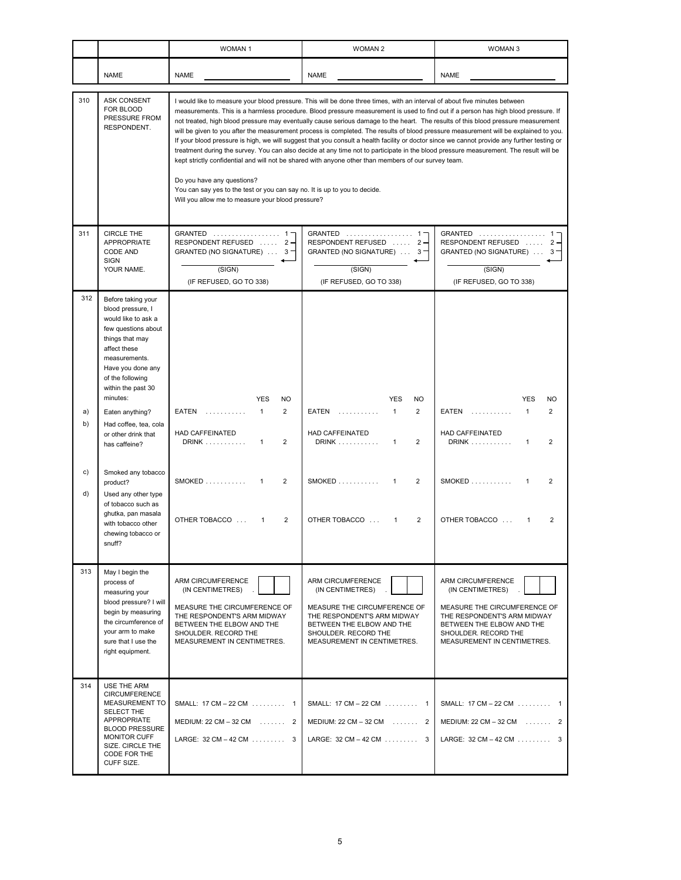|          |                                                                                                                                                                                                                      | WOMAN <sub>1</sub>                                                                                                                                                                                                                                                                                                                                                                                 | <b>WOMAN 2</b>                                                                                                                                                                                                                                                                                                                                                                                                                                                                                                                                                                                                                                                                                          | WOMAN <sub>3</sub>                                                                                                                                                                       |
|----------|----------------------------------------------------------------------------------------------------------------------------------------------------------------------------------------------------------------------|----------------------------------------------------------------------------------------------------------------------------------------------------------------------------------------------------------------------------------------------------------------------------------------------------------------------------------------------------------------------------------------------------|---------------------------------------------------------------------------------------------------------------------------------------------------------------------------------------------------------------------------------------------------------------------------------------------------------------------------------------------------------------------------------------------------------------------------------------------------------------------------------------------------------------------------------------------------------------------------------------------------------------------------------------------------------------------------------------------------------|------------------------------------------------------------------------------------------------------------------------------------------------------------------------------------------|
|          | <b>NAME</b>                                                                                                                                                                                                          | <b>NAME</b>                                                                                                                                                                                                                                                                                                                                                                                        | <b>NAME</b>                                                                                                                                                                                                                                                                                                                                                                                                                                                                                                                                                                                                                                                                                             | <b>NAME</b>                                                                                                                                                                              |
| 310      | ASK CONSENT<br>FOR BLOOD<br>PRESSURE FROM<br>RESPONDENT.                                                                                                                                                             | I would like to measure your blood pressure. This will be done three times, with an interval of about five minutes between<br>kept strictly confidential and will not be shared with anyone other than members of our survey team.<br>Do you have any questions?<br>You can say yes to the test or you can say no. It is up to you to decide.<br>Will you allow me to measure your blood pressure? | measurements. This is a harmless procedure. Blood pressure measurement is used to find out if a person has high blood pressure. If<br>not treated, high blood pressure may eventually cause serious damage to the heart. The results of this blood pressure measurement<br>will be given to you after the measurement process is completed. The results of blood pressure measurement will be explained to you.<br>If your blood pressure is high, we will suggest that you consult a health facility or doctor since we cannot provide any further testing or<br>treatment during the survey. You can also decide at any time not to participate in the blood pressure measurement. The result will be |                                                                                                                                                                                          |
| 311      | CIRCLE THE<br>APPROPRIATE<br><b>CODE AND</b><br><b>SIGN</b><br>YOUR NAME.                                                                                                                                            | GRANTED  1-<br>RESPONDENT REFUSED  2-<br>GRANTED (NO SIGNATURE)  3<br>(SIGN)<br>(IF REFUSED, GO TO 338)                                                                                                                                                                                                                                                                                            | GRANTED  1-<br>RESPONDENT REFUSED  2-<br>GRANTED (NO SIGNATURE) $\ldots$ 3<br>(SIGN)<br>(IF REFUSED, GO TO 338)                                                                                                                                                                                                                                                                                                                                                                                                                                                                                                                                                                                         | GRANTED  1<br>RESPONDENT REFUSED<br>$2 -$<br>GRANTED (NO SIGNATURE)<br>$3 -$<br>(SIGN)<br>(IF REFUSED, GO TO 338)                                                                        |
| 312      | Before taking your<br>blood pressure, I<br>would like to ask a<br>few questions about<br>things that may<br>affect these<br>measurements.<br>Have you done any<br>of the following<br>within the past 30<br>minutes: | <b>YES</b>                                                                                                                                                                                                                                                                                                                                                                                         | <b>YES</b>                                                                                                                                                                                                                                                                                                                                                                                                                                                                                                                                                                                                                                                                                              | <b>YES</b>                                                                                                                                                                               |
| a)<br>b) | Eaten anything?<br>Had coffee, tea, cola<br>or other drink that<br>has caffeine?                                                                                                                                     | <b>NO</b><br>$\mathbf{1}$<br>$\overline{2}$<br>EATEN<br>.<br><b>HAD CAFFEINATED</b><br>DRINK<br>$\overline{2}$<br>$\mathbf{1}$                                                                                                                                                                                                                                                                     | NO<br>$\mathbf{1}$<br>$\overline{2}$<br>EATEN<br>.<br>HAD CAFFEINATED<br>DRINK<br>$\overline{2}$<br>$\mathbf{1}$                                                                                                                                                                                                                                                                                                                                                                                                                                                                                                                                                                                        | <b>NO</b><br>$\mathbf{1}$<br>$\overline{2}$<br>EATEN<br>.<br>HAD CAFFEINATED<br><b>DRINK</b><br>$\mathbf{1}$<br>2                                                                        |
| C)<br>d) | Smoked any tobacco<br>product?<br>Used any other type<br>of tobacco such as                                                                                                                                          | $SMOKED$<br>$\overline{2}$<br>1                                                                                                                                                                                                                                                                                                                                                                    | $SMOKED$<br>$\overline{2}$<br>1                                                                                                                                                                                                                                                                                                                                                                                                                                                                                                                                                                                                                                                                         | <b>SMOKED</b><br>$\overline{2}$<br>$\mathbf{1}$                                                                                                                                          |
|          | ghutka, pan masala<br>with tobacco other<br>chewing tobacco or<br>snuff?                                                                                                                                             | $\overline{2}$<br>OTHER TOBACCO<br>1                                                                                                                                                                                                                                                                                                                                                               | OTHER TOBACCO<br>$\overline{2}$<br>1                                                                                                                                                                                                                                                                                                                                                                                                                                                                                                                                                                                                                                                                    | OTHER TOBACCO<br>2<br>1                                                                                                                                                                  |
| 313      | May I begin the<br>process of<br>measuring your<br>blood pressure? I will<br>begin by measuring<br>the circumference of<br>vour arm to make<br>sure that I use the<br>right equipment.                               | ARM CIRCUMFERENCE<br>(IN CENTIMETRES)<br>MEASURE THE CIRCUMFERENCE OF<br>THE RESPONDENT'S ARM MIDWAY<br>BETWEEN THE ELBOW AND THE<br>SHOULDER, RECORD THE<br>MEASUREMENT IN CENTIMETRES.                                                                                                                                                                                                           | ARM CIRCUMFERENCE<br>(IN CENTIMETRES)<br>MEASURE THE CIRCUMFERENCE OF<br>THE RESPONDENT'S ARM MIDWAY<br>BETWEEN THE ELBOW AND THE<br>SHOULDER, RECORD THE<br>MEASUREMENT IN CENTIMETRES.                                                                                                                                                                                                                                                                                                                                                                                                                                                                                                                | ARM CIRCUMFERENCE<br>(IN CENTIMETRES)<br>MEASURE THE CIRCUMFERENCE OF<br>THE RESPONDENT'S ARM MIDWAY<br>BETWEEN THE ELBOW AND THE<br>SHOULDER. RECORD THE<br>MEASUREMENT IN CENTIMETRES. |
| 314      | USE THE ARM<br><b>CIRCUMFERENCE</b><br>MEASUREMENT TO<br>SELECT THE<br>APPROPRIATE<br><b>BLOOD PRESSURE</b><br>MONITOR CUFF<br>SIZE. CIRCLE THE<br>CODE FOR THE<br>CUFF SIZE.                                        | SMALL: 17 CM - 22 CM  1<br>MEDIUM: $22 \text{ CM} - 32 \text{ CM}$ 2<br>LARGE: $32 \text{ CM} - 42 \text{ CM}$ 3                                                                                                                                                                                                                                                                                   | SMALL: 17 CM - 22 CM  1<br>MEDIUM: $22 \text{ CM} - 32 \text{ CM}$ 2<br>LARGE: $32 \text{ CM} - 42 \text{ CM}$ 3                                                                                                                                                                                                                                                                                                                                                                                                                                                                                                                                                                                        | SMALL: 17 CM - 22 CM 1<br>MEDIUM: $22 \text{ CM} - 32 \text{ CM}$ 2<br>LARGE: $32 \text{ CM} - 42 \text{ CM}$ 3                                                                          |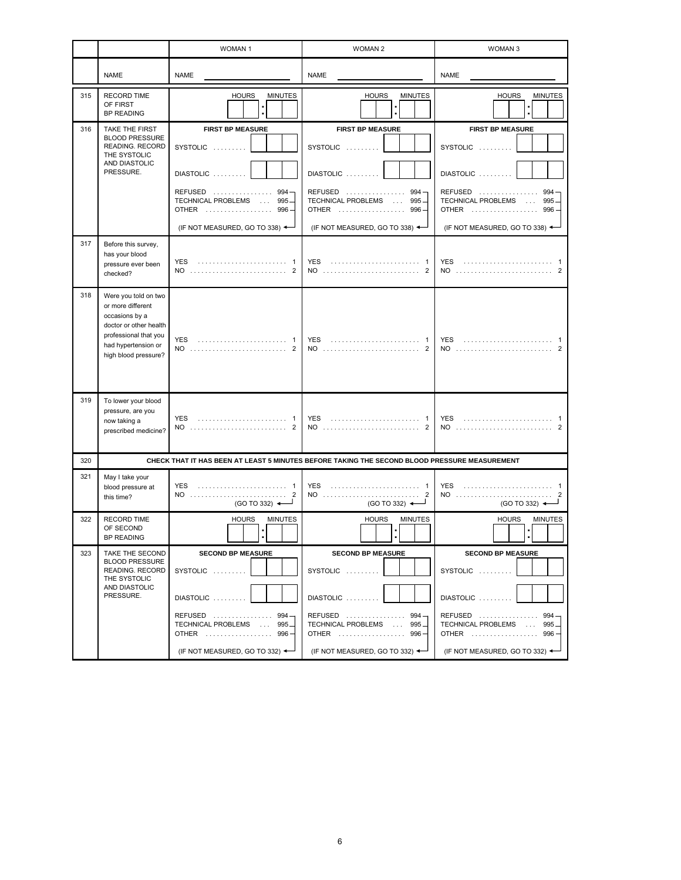|     |                                                                                                                                                               | <b>WOMAN1</b>                                                                                                                                   | <b>WOMAN 2</b>                                                                                                                                      | <b>WOMAN 3</b>                                                                                                                                             |
|-----|---------------------------------------------------------------------------------------------------------------------------------------------------------------|-------------------------------------------------------------------------------------------------------------------------------------------------|-----------------------------------------------------------------------------------------------------------------------------------------------------|------------------------------------------------------------------------------------------------------------------------------------------------------------|
|     | <b>NAME</b>                                                                                                                                                   | <b>NAME</b>                                                                                                                                     | <b>NAME</b>                                                                                                                                         | <b>NAME</b>                                                                                                                                                |
| 315 | <b>RECORD TIME</b><br>OF FIRST<br><b>BP READING</b>                                                                                                           | <b>HOURS</b><br><b>MINUTES</b>                                                                                                                  | <b>MINUTES</b><br><b>HOURS</b>                                                                                                                      | <b>HOURS</b><br><b>MINUTES</b>                                                                                                                             |
| 316 | TAKE THE FIRST<br><b>BLOOD PRESSURE</b><br>READING. RECORD<br>THE SYSTOLIC<br>AND DIASTOLIC<br>PRESSURE.                                                      | <b>FIRST BP MEASURE</b><br>SYSTOLIC<br>DIASTOLIC<br>REFUSED  994-<br>TECHNICAL PROBLEMS  995-<br>OTHER  996-<br>(IF NOT MEASURED, GO TO 338) ←  | <b>FIRST BP MEASURE</b><br>SYSTOLIC<br>DIASTOLIC<br>REFUSED<br>$994 -$<br>TECHNICAL PROBLEMS  995-<br>OTHER  996-<br>(IF NOT MEASURED, GO TO 338) ← | <b>FIRST BP MEASURE</b><br>SYSTOLIC<br>DIASTOLIC<br>$REFUSED$<br>994<br>TECHNICAL PROBLEMS<br>$995 -$<br>OTHER  996<br>(IF NOT MEASURED, GO TO 338) ←      |
| 317 | Before this survey,<br>has your blood<br>pressure ever been<br>checked?                                                                                       | <b>YES</b><br>$NO$<br>2                                                                                                                         | <b>YES</b><br>2                                                                                                                                     | <b>YES</b><br>NO<br>2                                                                                                                                      |
| 318 | Were you told on two<br>or more different<br>occasions by a<br>doctor or other health<br>professional that you<br>had hypertension or<br>high blood pressure? | <b>YES</b><br>NO  2                                                                                                                             | <b>YES</b><br>NO<br>2                                                                                                                               | <b>YES</b><br>NO                                                                                                                                           |
| 319 | To lower your blood<br>pressure, are you<br>now taking a<br>prescribed medicine?                                                                              | <b>YES</b><br>NO                                                                                                                                | <b>YES</b>                                                                                                                                          | <b>YES</b><br>NO                                                                                                                                           |
| 320 |                                                                                                                                                               |                                                                                                                                                 | CHECK THAT IT HAS BEEN AT LEAST 5 MINUTES BEFORE TAKING THE SECOND BLOOD PRESSURE MEASUREMENT                                                       |                                                                                                                                                            |
| 321 | May I take your<br>blood pressure at<br>this time?                                                                                                            | <b>YES</b><br>NO  2<br>$(GO TO 332)$ $\longrightarrow$                                                                                          | <b>YES</b><br>NO  2<br>$(GO TO 332)$ $\longrightarrow$                                                                                              | <b>YES</b><br>NO<br>(GO TO 332) $\leftarrow$                                                                                                               |
| 322 | <b>RECORD TIME</b><br>OF SECOND<br>BP READING                                                                                                                 | <b>HOURS</b><br><b>MINUTES</b>                                                                                                                  | <b>HOURS</b><br><b>MINUTES</b>                                                                                                                      | <b>HOURS</b><br><b>MINUTES</b>                                                                                                                             |
| 323 | TAKE THE SECOND<br><b>BLOOD PRESSURE</b><br>READING. RECORD<br>THE SYSTOLIC<br>AND DIASTOLIC<br>PRESSURE.                                                     | <b>SECOND BP MEASURE</b><br>SYSTOLIC<br>DIASTOLIC<br>REFUSED  994-<br>TECHNICAL PROBLEMS  995-<br>OTHER  996-<br>(IF NOT MEASURED, GO TO 332) ← | <b>SECOND BP MEASURE</b><br>SYSTOLIC<br>DIASTOLIC<br>REFUSED  994-<br>TECHNICAL PROBLEMS  995-<br>OTHER  996-<br>(IF NOT MEASURED, GO TO 332) ←     | <b>SECOND BP MEASURE</b><br>SYSTOLIC<br>DIASTOLIC<br>REFUSED  994-<br>TECHNICAL PROBLEMS  995-<br>OTHER  996-<br>(IF NOT MEASURED, GO TO 332) $\leftarrow$ |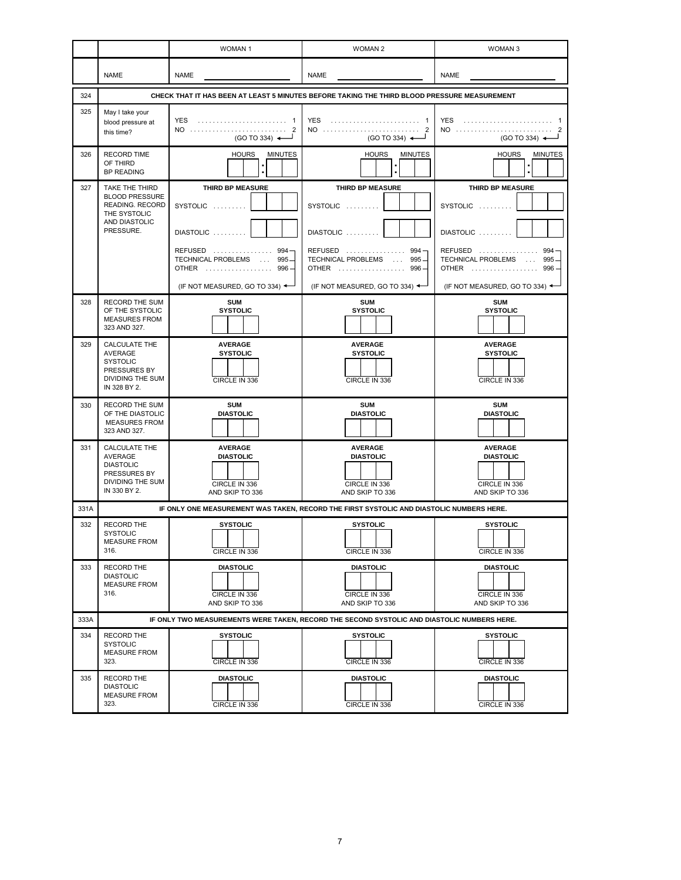|      |                                                                                                        | <b>WOMAN1</b>                                                                                                                        | <b>WOMAN 2</b>                                                                                                              | <b>WOMAN3</b>                                                                                                                          |
|------|--------------------------------------------------------------------------------------------------------|--------------------------------------------------------------------------------------------------------------------------------------|-----------------------------------------------------------------------------------------------------------------------------|----------------------------------------------------------------------------------------------------------------------------------------|
|      | <b>NAME</b>                                                                                            | NAME                                                                                                                                 | NAME                                                                                                                        |                                                                                                                                        |
| 324  |                                                                                                        |                                                                                                                                      | CHECK THAT IT HAS BEEN AT LEAST 5 MINUTES BEFORE TAKING THE THIRD BLOOD PRESSURE MEASUREMENT                                |                                                                                                                                        |
| 325  | May I take your<br>blood pressure at<br>this time?                                                     | YES  1<br>NO  2<br>$(GO TO 334)$ $\leftarrow$                                                                                        | YES  1<br>NO  2<br>(GO TO 334) $\leftarrow$                                                                                 | NO  2<br>(GO TO 334) $\leftarrow$                                                                                                      |
| 326  | <b>RECORD TIME</b><br>OF THIRD<br><b>BP READING</b>                                                    | <b>HOURS</b><br><b>MINUTES</b>                                                                                                       | <b>HOURS</b><br><b>MINUTES</b>                                                                                              | <b>HOURS</b><br><b>MINUTES</b>                                                                                                         |
| 327  | TAKE THE THIRD<br><b>BLOOD PRESSURE</b><br>READING. RECORD<br>THE SYSTOLIC<br>AND DIASTOLIC            | THIRD BP MEASURE<br>SYSTOLIC                                                                                                         | THIRD BP MEASURE<br>SYSTOLIC                                                                                                | THIRD BP MEASURE<br>SYSTOLIC                                                                                                           |
|      | PRESSURE.                                                                                              | DIASTOLIC<br>REFUSED  994<br><b>TECHNICAL PROBLEMS</b><br>$995 -$<br><b>Contract</b><br>OTHER  996<br>(IF NOT MEASURED, GO TO 334) < | DIASTOLIC<br>REFUSED  994<br><b>TECHNICAL PROBLEMS</b><br>$995 -$<br>$\sim$<br>OTHER  996<br>(IF NOT MEASURED, GO TO 334) < | DIASTOLIC<br>$REFUSED$<br>994<br>TECHNICAL PROBLEMS<br>995<br><b>Contract</b><br><b>OTHER</b><br>996<br>(IF NOT MEASURED, GO TO 334) < |
| 328  | RECORD THE SUM<br>OF THE SYSTOLIC<br><b>MEASURES FROM</b><br>323 AND 327.                              | <b>SUM</b><br><b>SYSTOLIC</b>                                                                                                        | <b>SUM</b><br><b>SYSTOLIC</b>                                                                                               | <b>SUM</b><br><b>SYSTOLIC</b>                                                                                                          |
| 329  | CALCULATE THE<br><b>AVERAGE</b><br><b>SYSTOLIC</b><br>PRESSURES BY<br>DIVIDING THE SUM<br>IN 328 BY 2. | <b>AVERAGE</b><br><b>SYSTOLIC</b><br>CIRCLE IN 336                                                                                   | <b>AVERAGE</b><br><b>SYSTOLIC</b><br>CIRCLE IN 336                                                                          | <b>AVERAGE</b><br><b>SYSTOLIC</b><br>CIRCLE IN 336                                                                                     |
| 330  | <b>RECORD THE SUM</b><br>OF THE DIASTOLIC<br><b>MEASURES FROM</b><br>323 AND 327.                      | <b>SUM</b><br><b>DIASTOLIC</b>                                                                                                       | <b>SUM</b><br><b>DIASTOLIC</b>                                                                                              | <b>SUM</b><br><b>DIASTOLIC</b>                                                                                                         |
| 331  | CALCULATE THE<br>AVERAGE<br><b>DIASTOLIC</b><br>PRESSURES BY<br>DIVIDING THE SUM<br>IN 330 BY 2.       | <b>AVERAGE</b><br><b>DIASTOLIC</b><br>CIRCLE IN 336<br>AND SKIP TO 336                                                               | <b>AVERAGE</b><br><b>DIASTOLIC</b><br>CIRCLE IN 336<br>AND SKIP TO 336                                                      | <b>AVERAGE</b><br><b>DIASTOLIC</b><br>CIRCLE IN 336<br>AND SKIP TO 336                                                                 |
| 331A |                                                                                                        |                                                                                                                                      | IF ONLY ONE MEASUREMENT WAS TAKEN, RECORD THE FIRST SYSTOLIC AND DIASTOLIC NUMBERS HERE.                                    |                                                                                                                                        |
| 332  | RECORD THE<br><b>SYSTOLIC</b><br><b>MEASURE FROM</b><br>316.                                           | <b>SYSTOLIC</b><br>CIRCLE IN 336                                                                                                     | SYSTOLIC<br>CIRCLE IN 336                                                                                                   | <b>SYSTOLIC</b><br>CIRCLE IN 336                                                                                                       |
| 333  | RECORD THE<br><b>DIASTOLIC</b><br><b>MEASURE FROM</b><br>316.                                          | <b>DIASTOLIC</b><br>CIRCLE IN 336<br>AND SKIP TO 336                                                                                 | <b>DIASTOLIC</b><br>CIRCLE IN 336<br>AND SKIP TO 336                                                                        | <b>DIASTOLIC</b><br>CIRCLE IN 336<br>AND SKIP TO 336                                                                                   |
| 333A |                                                                                                        |                                                                                                                                      | IF ONLY TWO MEASUREMENTS WERE TAKEN, RECORD THE SECOND SYSTOLIC AND DIASTOLIC NUMBERS HERE.                                 |                                                                                                                                        |
| 334  | RECORD THE<br><b>SYSTOLIC</b><br><b>MEASURE FROM</b><br>323.                                           | <b>SYSTOLIC</b><br>CIRCLE IN 336                                                                                                     | <b>SYSTOLIC</b><br>CIRCLE IN 336                                                                                            | <b>SYSTOLIC</b><br>CIRCLE IN 336                                                                                                       |
| 335  | RECORD THE<br><b>DIASTOLIC</b><br><b>MEASURE FROM</b><br>323.                                          | <b>DIASTOLIC</b><br>CIRCLE IN 336                                                                                                    | <b>DIASTOLIC</b><br>CIRCLE IN 336                                                                                           | <b>DIASTOLIC</b><br>CIRCLE IN 336                                                                                                      |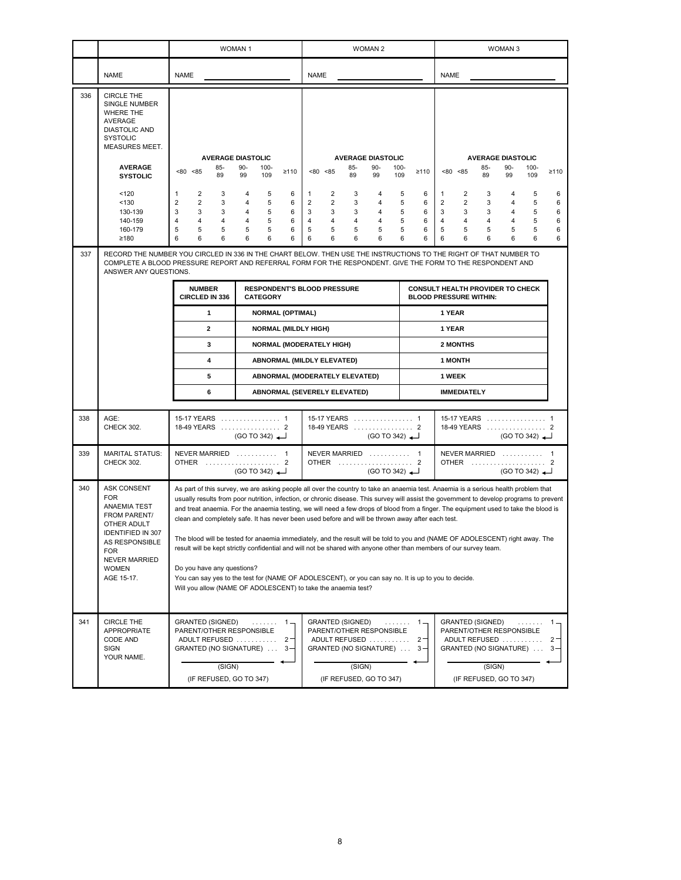|     |                                                                                                                                                                                                   | <b>WOMAN1</b>                                                                                                                                                                                                                                                                                                                                                                                                                                                                                                                                                                                                                                                                                                                                                                                                                                                                                                                                                                               |                                                                                                     | <b>WOMAN 2</b>                                                                                                                      |                                                          | <b>WOMAN3</b>                                                                                                                                                                                                                                          |                                                          |
|-----|---------------------------------------------------------------------------------------------------------------------------------------------------------------------------------------------------|---------------------------------------------------------------------------------------------------------------------------------------------------------------------------------------------------------------------------------------------------------------------------------------------------------------------------------------------------------------------------------------------------------------------------------------------------------------------------------------------------------------------------------------------------------------------------------------------------------------------------------------------------------------------------------------------------------------------------------------------------------------------------------------------------------------------------------------------------------------------------------------------------------------------------------------------------------------------------------------------|-----------------------------------------------------------------------------------------------------|-------------------------------------------------------------------------------------------------------------------------------------|----------------------------------------------------------|--------------------------------------------------------------------------------------------------------------------------------------------------------------------------------------------------------------------------------------------------------|----------------------------------------------------------|
|     | <b>NAME</b>                                                                                                                                                                                       | <b>NAME</b>                                                                                                                                                                                                                                                                                                                                                                                                                                                                                                                                                                                                                                                                                                                                                                                                                                                                                                                                                                                 |                                                                                                     | <b>NAME</b>                                                                                                                         |                                                          | <b>NAME</b>                                                                                                                                                                                                                                            |                                                          |
| 336 | <b>CIRCLE THE</b><br>SINGLE NUMBER<br>WHERE THE<br>AVERAGE<br><b>DIASTOLIC AND</b><br><b>SYSTOLIC</b><br><b>MEASURES MEET.</b>                                                                    |                                                                                                                                                                                                                                                                                                                                                                                                                                                                                                                                                                                                                                                                                                                                                                                                                                                                                                                                                                                             |                                                                                                     |                                                                                                                                     |                                                          |                                                                                                                                                                                                                                                        |                                                          |
|     | <b>AVERAGE</b><br><b>SYSTOLIC</b>                                                                                                                                                                 | 85-<br>< 80 < 85<br>89                                                                                                                                                                                                                                                                                                                                                                                                                                                                                                                                                                                                                                                                                                                                                                                                                                                                                                                                                                      | <b>AVERAGE DIASTOLIC</b><br>90-<br>$100 -$<br>≥110<br>99<br>109                                     | <b>AVERAGE DIASTOLIC</b><br>85-<br>90-<br>< 80 < 85<br>89<br>99                                                                     | $100 -$<br>≥110<br>109                                   | <b>AVERAGE DIASTOLIC</b><br>$85 -$<br>$90-$<br>< 80 < 85<br>89<br>99                                                                                                                                                                                   | $100 -$<br>≥110<br>109                                   |
| 337 | 120<br>< 130<br>130-139<br>140-159<br>160-179<br>≥180                                                                                                                                             | 2<br>3<br>1<br>$\overline{2}$<br>$\overline{2}$<br>3<br>3<br>3<br>3<br>4<br>4<br>4<br>5<br>5<br>5<br>6<br>6<br>6                                                                                                                                                                                                                                                                                                                                                                                                                                                                                                                                                                                                                                                                                                                                                                                                                                                                            | $\overline{4}$<br>5<br>6<br>5<br>6<br>4<br>5<br>4<br>6<br>5<br>6<br>4<br>5<br>6<br>5<br>6<br>6<br>6 | 2<br>3<br>4<br>1<br>2<br>2<br>3<br>4<br>3<br>3<br>3<br>4<br>4<br>4<br>4<br>4<br>5<br>5<br>5<br>5<br>6<br>6<br>6<br>6                | 5<br>6<br>5<br>6<br>5<br>6<br>5<br>6<br>6<br>5<br>6<br>6 | 2<br>3<br>4<br>1<br>2<br>$\overline{2}$<br>3<br>4<br>3<br>3<br>3<br>4<br>4<br>4<br>4<br>4<br>5<br>5<br>5<br>5<br>6<br>6<br>6<br>6<br>RECORD THE NUMBER YOU CIRCLED IN 336 IN THE CHART BELOW. THEN USE THE INSTRUCTIONS TO THE RIGHT OF THAT NUMBER TO | 5<br>6<br>5<br>6<br>5<br>6<br>5<br>6<br>5<br>6<br>6<br>6 |
|     | ANSWER ANY QUESTIONS.                                                                                                                                                                             | <b>NUMBER</b>                                                                                                                                                                                                                                                                                                                                                                                                                                                                                                                                                                                                                                                                                                                                                                                                                                                                                                                                                                               |                                                                                                     | <b>RESPONDENT'S BLOOD PRESSURE</b>                                                                                                  |                                                          | COMPLETE A BLOOD PRESSURE REPORT AND REFERRAL FORM FOR THE RESPONDENT. GIVE THE FORM TO THE RESPONDENT AND<br><b>CONSULT HEALTH PROVIDER TO CHECK</b>                                                                                                  |                                                          |
|     |                                                                                                                                                                                                   | CIRCLED IN 336<br>$\mathbf{1}$                                                                                                                                                                                                                                                                                                                                                                                                                                                                                                                                                                                                                                                                                                                                                                                                                                                                                                                                                              | <b>CATEGORY</b><br><b>NORMAL (OPTIMAL)</b>                                                          |                                                                                                                                     |                                                          | <b>BLOOD PRESSURE WITHIN:</b><br>1 YEAR                                                                                                                                                                                                                |                                                          |
|     |                                                                                                                                                                                                   | $\mathbf{2}$                                                                                                                                                                                                                                                                                                                                                                                                                                                                                                                                                                                                                                                                                                                                                                                                                                                                                                                                                                                | <b>NORMAL (MILDLY HIGH)</b>                                                                         |                                                                                                                                     |                                                          | 1 YEAR                                                                                                                                                                                                                                                 |                                                          |
|     |                                                                                                                                                                                                   | 3                                                                                                                                                                                                                                                                                                                                                                                                                                                                                                                                                                                                                                                                                                                                                                                                                                                                                                                                                                                           |                                                                                                     | <b>NORMAL (MODERATELY HIGH)</b>                                                                                                     |                                                          | 2 MONTHS                                                                                                                                                                                                                                               |                                                          |
|     |                                                                                                                                                                                                   | 4                                                                                                                                                                                                                                                                                                                                                                                                                                                                                                                                                                                                                                                                                                                                                                                                                                                                                                                                                                                           |                                                                                                     | <b>ABNORMAL (MILDLY ELEVATED)</b>                                                                                                   |                                                          | <b>1 MONTH</b>                                                                                                                                                                                                                                         |                                                          |
|     |                                                                                                                                                                                                   | 5                                                                                                                                                                                                                                                                                                                                                                                                                                                                                                                                                                                                                                                                                                                                                                                                                                                                                                                                                                                           |                                                                                                     | ABNORMAL (MODERATELY ELEVATED)                                                                                                      |                                                          | 1 WEEK                                                                                                                                                                                                                                                 |                                                          |
|     |                                                                                                                                                                                                   | 6                                                                                                                                                                                                                                                                                                                                                                                                                                                                                                                                                                                                                                                                                                                                                                                                                                                                                                                                                                                           |                                                                                                     | ABNORMAL (SEVERELY ELEVATED)                                                                                                        |                                                          | <b>IMMEDIATELY</b>                                                                                                                                                                                                                                     |                                                          |
| 338 | AGE:<br>CHECK 302.                                                                                                                                                                                | 15-17 YEARS  1<br>18-49 YEARS  2                                                                                                                                                                                                                                                                                                                                                                                                                                                                                                                                                                                                                                                                                                                                                                                                                                                                                                                                                            | (GO TO 342)                                                                                         | 15-17 YEARS  1<br>18-49 YEARS  2                                                                                                    | $(GO TO 342)$ <sup>-</sup>                               | 15-17 YEARS  1<br>18-49 YEARS  2<br>$(GO TO 342)$ <sup>-</sup>                                                                                                                                                                                         |                                                          |
| 339 | <b>MARITAL STATUS:</b><br>CHECK 302.                                                                                                                                                              | NEVER MARRIED  1<br>OTHER  2                                                                                                                                                                                                                                                                                                                                                                                                                                                                                                                                                                                                                                                                                                                                                                                                                                                                                                                                                                | $(GO TO 342)$ <sup>-</sup>                                                                          | NEVER MARRIED  1<br>OTHER  2                                                                                                        | (GO TO 342)                                              | NEVER MARRIED  1<br>OTHER  2<br>(GO TO 342)                                                                                                                                                                                                            |                                                          |
| 340 | <b>ASK CONSENT</b><br><b>FOR</b><br>ANAEMIA TEST<br>FROM PARENT/<br>OTHER ADULT<br><b>IDENTIFIED IN 307</b><br>AS RESPONSIBLE<br><b>FOR</b><br><b>NEVER MARRIED</b><br><b>WOMEN</b><br>AGE 15-17. | As part of this survey, we are asking people all over the country to take an anaemia test. Anaemia is a serious health problem that<br>usually results from poor nutrition, infection, or chronic disease. This survey will assist the government to develop programs to prevent<br>and treat anaemia. For the anaemia testing, we will need a few drops of blood from a finger. The equipment used to take the blood is<br>clean and completely safe. It has never been used before and will be thrown away after each test.<br>The blood will be tested for anaemia immediately, and the result will be told to you and (NAME OF ADOLESCENT) right away. The<br>result will be kept strictly confidential and will not be shared with anyone other than members of our survey team.<br>Do you have any questions?<br>You can say yes to the test for (NAME OF ADOLESCENT), or you can say no. It is up to you to decide.<br>Will you allow (NAME OF ADOLESCENT) to take the anaemia test? |                                                                                                     |                                                                                                                                     |                                                          |                                                                                                                                                                                                                                                        |                                                          |
| 341 | <b>CIRCLE THE</b><br>APPROPRIATE<br>CODE AND<br>SIGN<br>YOUR NAME.                                                                                                                                | <b>GRANTED (SIGNED)</b><br>PARENT/OTHER RESPONSIBLE<br>ADULT REFUSED<br>GRANTED (NO SIGNATURE)<br>(SIGN)<br>(IF REFUSED, GO TO 347)                                                                                                                                                                                                                                                                                                                                                                                                                                                                                                                                                                                                                                                                                                                                                                                                                                                         | $\ldots \ldots 1$ =<br>$2 -$<br>$3 -$                                                               | <b>GRANTED (SIGNED)</b><br>PARENT/OTHER RESPONSIBLE<br>ADULT REFUSED<br>GRANTED (NO SIGNATURE)<br>(SIGN)<br>(IF REFUSED, GO TO 347) | . 1 =<br>$2 -$<br>$3 -$                                  | <b>GRANTED (SIGNED)</b><br>PARENT/OTHER RESPONSIBLE<br>ADULT REFUSED<br>GRANTED (NO SIGNATURE)<br>(SIGN)<br>(IF REFUSED, GO TO 347)                                                                                                                    | $1 -$<br>.<br>$2 -$<br>3-                                |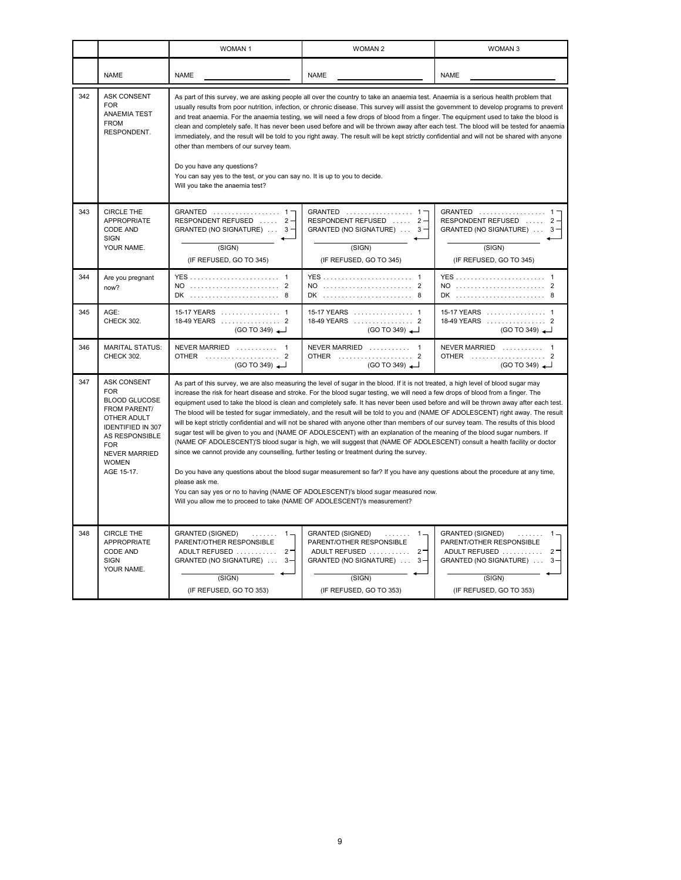|     |                                                                                                                                                                                                                  | <b>WOMAN1</b>                                                                                                                                                                                                                                                                                                                                                                                                                                                                                                                                                                                                                                                                                                                                                                                                                                                                                                                                                                                                                                                                                                                                                                                                                                                                                                                                                                 | <b>WOMAN 2</b>                                                                                                                                                    | WOMAN <sub>3</sub>                                                                                                                                        |  |  |
|-----|------------------------------------------------------------------------------------------------------------------------------------------------------------------------------------------------------------------|-------------------------------------------------------------------------------------------------------------------------------------------------------------------------------------------------------------------------------------------------------------------------------------------------------------------------------------------------------------------------------------------------------------------------------------------------------------------------------------------------------------------------------------------------------------------------------------------------------------------------------------------------------------------------------------------------------------------------------------------------------------------------------------------------------------------------------------------------------------------------------------------------------------------------------------------------------------------------------------------------------------------------------------------------------------------------------------------------------------------------------------------------------------------------------------------------------------------------------------------------------------------------------------------------------------------------------------------------------------------------------|-------------------------------------------------------------------------------------------------------------------------------------------------------------------|-----------------------------------------------------------------------------------------------------------------------------------------------------------|--|--|
|     | <b>NAME</b>                                                                                                                                                                                                      | <b>NAME</b>                                                                                                                                                                                                                                                                                                                                                                                                                                                                                                                                                                                                                                                                                                                                                                                                                                                                                                                                                                                                                                                                                                                                                                                                                                                                                                                                                                   | <b>NAME</b>                                                                                                                                                       | <b>NAME</b>                                                                                                                                               |  |  |
| 342 | <b>ASK CONSENT</b><br><b>FOR</b><br><b>ANAEMIA TEST</b><br><b>FROM</b><br>RESPONDENT.                                                                                                                            | As part of this survey, we are asking people all over the country to take an anaemia test. Anaemia is a serious health problem that<br>usually results from poor nutrition, infection, or chronic disease. This survey will assist the government to develop programs to prevent<br>and treat anaemia. For the anaemia testing, we will need a few drops of blood from a finger. The equipment used to take the blood is<br>clean and completely safe. It has never been used before and will be thrown away after each test. The blood will be tested for anaemia<br>immediately, and the result will be told to you right away. The result will be kept strictly confidential and will not be shared with anyone<br>other than members of our survey team.<br>Do you have any questions?<br>You can say yes to the test, or you can say no. It is up to you to decide.<br>Will you take the anaemia test?                                                                                                                                                                                                                                                                                                                                                                                                                                                                   |                                                                                                                                                                   |                                                                                                                                                           |  |  |
| 343 | <b>CIRCLE THE</b><br>APPROPRIATE<br>CODE AND<br><b>SIGN</b><br>YOUR NAME.                                                                                                                                        | GRANTED  1-<br>RESPONDENT REFUSED  2-<br>GRANTED (NO SIGNATURE) $\ldots$ 3<br>(SIGN)<br>(IF REFUSED, GO TO 345)                                                                                                                                                                                                                                                                                                                                                                                                                                                                                                                                                                                                                                                                                                                                                                                                                                                                                                                                                                                                                                                                                                                                                                                                                                                               | GRANTED  1-<br>RESPONDENT REFUSED  2-<br>GRANTED (NO SIGNATURE)  3-<br>(SIGN)<br>(IF REFUSED, GO TO 345)                                                          | GRANTED  1-<br>RESPONDENT REFUSED $\ldots$ 2-<br>GRANTED (NO SIGNATURE)  3-<br>(SIGN)<br>(IF REFUSED, GO TO 345)                                          |  |  |
| 344 | Are you pregnant<br>now?                                                                                                                                                                                         | NO  2<br>DK  8                                                                                                                                                                                                                                                                                                                                                                                                                                                                                                                                                                                                                                                                                                                                                                                                                                                                                                                                                                                                                                                                                                                                                                                                                                                                                                                                                                | NO  2<br>DK  8                                                                                                                                                    | NO  2<br>DK  8                                                                                                                                            |  |  |
| 345 | AGE:<br>CHECK 302.                                                                                                                                                                                               | 15-17 YEARS  1<br>18-49 YEARS  2<br>(GO TO 349)                                                                                                                                                                                                                                                                                                                                                                                                                                                                                                                                                                                                                                                                                                                                                                                                                                                                                                                                                                                                                                                                                                                                                                                                                                                                                                                               | 15-17 YEARS  1<br>18-49 YEARS  2<br>(GO TO 349)                                                                                                                   | 15-17 YEARS  1<br>18-49 YEARS  2<br>(GO TO 349)                                                                                                           |  |  |
| 346 | <b>MARITAL STATUS:</b><br>CHECK 302.                                                                                                                                                                             | NEVER MARRIED  1<br>OTHER  2<br>$(GO TO 349)$ <sup><math>\rightarrow</math></sup>                                                                                                                                                                                                                                                                                                                                                                                                                                                                                                                                                                                                                                                                                                                                                                                                                                                                                                                                                                                                                                                                                                                                                                                                                                                                                             | NEVER MARRIED  1<br>OTHER  2<br>$(GO TO 349)$ <sup><math>\rightarrow</math></sup>                                                                                 | NEVER MARRIED<br>OTHER  2<br>(GO TO 349)                                                                                                                  |  |  |
| 347 | <b>ASK CONSENT</b><br><b>FOR</b><br><b>BLOOD GLUCOSE</b><br>FROM PARENT/<br>OTHER ADULT<br><b>IDENTIFIED IN 307</b><br><b>AS RESPONSIBLE</b><br><b>FOR</b><br><b>NEVER MARRIED</b><br><b>WOMEN</b><br>AGE 15-17. | As part of this survey, we are also measuring the level of sugar in the blood. If it is not treated, a high level of blood sugar may<br>increase the risk for heart disease and stroke. For the blood sugar testing, we will need a few drops of blood from a finger. The<br>equipment used to take the blood is clean and completely safe. It has never been used before and will be thrown away after each test.<br>The blood will be tested for sugar immediately, and the result will be told to you and (NAME OF ADOLESCENT) right away. The result<br>will be kept strictly confidential and will not be shared with anyone other than members of our survey team. The results of this blood<br>sugar test will be given to you and (NAME OF ADOLESCENT) with an explanation of the meaning of the blood sugar numbers. If<br>(NAME OF ADOLESCENT)'S blood sugar is high, we will suggest that (NAME OF ADOLESCENT) consult a health facility or doctor<br>since we cannot provide any counselling, further testing or treatment during the survey.<br>Do you have any questions about the blood sugar measurement so far? If you have any questions about the procedure at any time,<br>please ask me.<br>You can say yes or no to having (NAME OF ADOLESCENT)'s blood sugar measured now.<br>Will you allow me to proceed to take (NAME OF ADOLESCENT)'s measurement? |                                                                                                                                                                   |                                                                                                                                                           |  |  |
| 348 | CIRCLE THE<br><b>APPROPRIATE</b><br>CODE AND<br><b>SIGN</b><br>YOUR NAME.                                                                                                                                        | <b>GRANTED (SIGNED)</b><br>.<br>$1 -$<br>PARENT/OTHER RESPONSIBLE<br>ADULT REFUSED  2-<br>GRANTED (NO SIGNATURE) $\ldots$ 3-<br>(SIGN)<br>(IF REFUSED, GO TO 353)                                                                                                                                                                                                                                                                                                                                                                                                                                                                                                                                                                                                                                                                                                                                                                                                                                                                                                                                                                                                                                                                                                                                                                                                             | <b>GRANTED (SIGNED)</b><br>.<br>$1 -$<br>PARENT/OTHER RESPONSIBLE<br>ADULT REFUSED  2-<br>GRANTED (NO SIGNATURE) $\ldots$ 3-<br>(SIGN)<br>(IF REFUSED, GO TO 353) | <b>GRANTED (SIGNED)</b><br>.<br>$1 -$<br>PARENT/OTHER RESPONSIBLE<br>ADULT REFUSED  2-<br>GRANTED (NO SIGNATURE)  3-<br>(SIGN)<br>(IF REFUSED, GO TO 353) |  |  |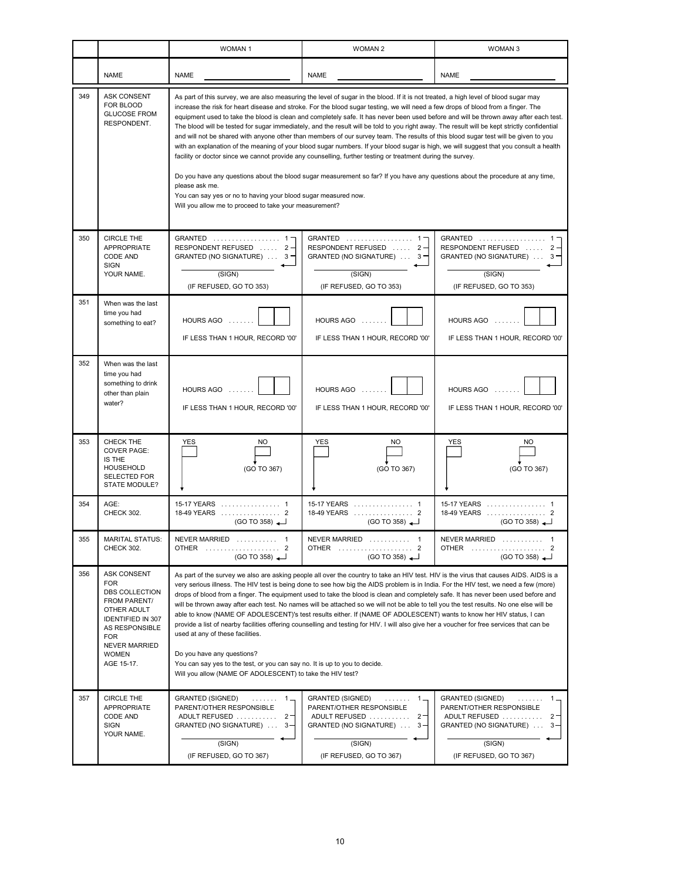|     |                                                                                                                                                                                       | <b>WOMAN1</b>                                                                                                                                                                                                                                                                                                                                                                                                                                                                                                                                                                                                                                                                                                                                                                                                                                                                                                                                                                                                                                                                                                                                                                                                                                      | <b>WOMAN 2</b>                                                                                                                                               | WOMAN 3                                                                                                                                                      |  |  |
|-----|---------------------------------------------------------------------------------------------------------------------------------------------------------------------------------------|----------------------------------------------------------------------------------------------------------------------------------------------------------------------------------------------------------------------------------------------------------------------------------------------------------------------------------------------------------------------------------------------------------------------------------------------------------------------------------------------------------------------------------------------------------------------------------------------------------------------------------------------------------------------------------------------------------------------------------------------------------------------------------------------------------------------------------------------------------------------------------------------------------------------------------------------------------------------------------------------------------------------------------------------------------------------------------------------------------------------------------------------------------------------------------------------------------------------------------------------------|--------------------------------------------------------------------------------------------------------------------------------------------------------------|--------------------------------------------------------------------------------------------------------------------------------------------------------------|--|--|
|     | <b>NAME</b>                                                                                                                                                                           | <b>NAME</b>                                                                                                                                                                                                                                                                                                                                                                                                                                                                                                                                                                                                                                                                                                                                                                                                                                                                                                                                                                                                                                                                                                                                                                                                                                        | <b>NAME</b>                                                                                                                                                  | <b>NAME</b>                                                                                                                                                  |  |  |
| 349 | ASK CONSENT<br>FOR BLOOD<br><b>GLUCOSE FROM</b><br>RESPONDENT.                                                                                                                        | As part of this survey, we are also measuring the level of sugar in the blood. If it is not treated, a high level of blood sugar may<br>increase the risk for heart disease and stroke. For the blood sugar testing, we will need a few drops of blood from a finger. The<br>equipment used to take the blood is clean and completely safe. It has never been used before and will be thrown away after each test.<br>The blood will be tested for sugar immediately, and the result will be told to you right away. The result will be kept strictly confidential<br>and will not be shared with anyone other than members of our survey team. The results of this blood sugar test will be given to you<br>with an explanation of the meaning of your blood sugar numbers. If your blood sugar is high, we will suggest that you consult a health<br>facility or doctor since we cannot provide any counselling, further testing or treatment during the survey.<br>Do you have any questions about the blood sugar measurement so far? If you have any questions about the procedure at any time,<br>please ask me.<br>You can say yes or no to having your blood sugar measured now.<br>Will you allow me to proceed to take your measurement? |                                                                                                                                                              |                                                                                                                                                              |  |  |
| 350 | CIRCLE THE<br><b>APPROPRIATE</b><br>CODE AND<br><b>SIGN</b><br>YOUR NAME.                                                                                                             | GRANTED  1<br>RESPONDENT REFUSED  2-<br>GRANTED (NO SIGNATURE)  3<br>(SIGN)<br>(IF REFUSED, GO TO 353)                                                                                                                                                                                                                                                                                                                                                                                                                                                                                                                                                                                                                                                                                                                                                                                                                                                                                                                                                                                                                                                                                                                                             | GRANTED  1<br>RESPONDENT REFUSED  2-<br>GRANTED (NO SIGNATURE)  3-<br>(SIGN)<br>(IF REFUSED, GO TO 353)                                                      | GRANTED  1<br>RESPONDENT REFUSED  2-<br>GRANTED (NO SIGNATURE)<br>3.<br>(SIGN)<br>(IF REFUSED, GO TO 353)                                                    |  |  |
| 351 | When was the last<br>time you had<br>something to eat?                                                                                                                                | HOURS AGO<br>IF LESS THAN 1 HOUR, RECORD '00'                                                                                                                                                                                                                                                                                                                                                                                                                                                                                                                                                                                                                                                                                                                                                                                                                                                                                                                                                                                                                                                                                                                                                                                                      | HOURS AGO $\dots$<br>IF LESS THAN 1 HOUR, RECORD '00'                                                                                                        | HOURS AGO<br>IF LESS THAN 1 HOUR, RECORD '00'                                                                                                                |  |  |
| 352 | When was the last<br>time you had<br>something to drink<br>other than plain<br>water?                                                                                                 | HOURS AGO<br>IF LESS THAN 1 HOUR, RECORD '00'                                                                                                                                                                                                                                                                                                                                                                                                                                                                                                                                                                                                                                                                                                                                                                                                                                                                                                                                                                                                                                                                                                                                                                                                      | HOURS AGO<br>IF LESS THAN 1 HOUR, RECORD '00'                                                                                                                | HOURS AGO<br>IF LESS THAN 1 HOUR, RECORD '00'                                                                                                                |  |  |
| 353 | CHECK THE<br><b>COVER PAGE:</b><br>IS THE<br><b>HOUSEHOLD</b><br>SELECTED FOR<br>STATE MODULE?                                                                                        | YES<br>NO.<br>(GO TO 367)                                                                                                                                                                                                                                                                                                                                                                                                                                                                                                                                                                                                                                                                                                                                                                                                                                                                                                                                                                                                                                                                                                                                                                                                                          | YES<br>NO<br>(GO TO 367)                                                                                                                                     | YES<br>NO<br>(GO TO 367)                                                                                                                                     |  |  |
| 354 | AGE:<br><b>CHECK 302.</b>                                                                                                                                                             | 15-17 YEARS  1<br>18-49 YEARS  2<br>(GO TO 358)                                                                                                                                                                                                                                                                                                                                                                                                                                                                                                                                                                                                                                                                                                                                                                                                                                                                                                                                                                                                                                                                                                                                                                                                    | 15-17 YEARS  1<br>18-49 YEARS  2<br>(GO TO 358)                                                                                                              | 18-49 YEARS  2<br>$(GO TO 358)$ <sup>-</sup>                                                                                                                 |  |  |
| 355 | <b>MARITAL STATUS:</b><br>CHECK 302.                                                                                                                                                  | NEVER MARRIED<br>$\overline{1}$<br>OTHER  2<br>$(GO TO 358)$ <sup><math>\rightarrow</math></sup>                                                                                                                                                                                                                                                                                                                                                                                                                                                                                                                                                                                                                                                                                                                                                                                                                                                                                                                                                                                                                                                                                                                                                   | NEVER MARRIED  1<br>OTHER  2<br>(GO TO 358)                                                                                                                  | NEVER MARRIED<br>. 1<br>OTHER  2<br>$(GO TO 358)$ <sup><math>\rightarrow</math></sup>                                                                        |  |  |
| 356 | ASK CONSENT<br><b>FOR</b><br>DBS COLLECTION<br>FROM PARENT/<br>OTHER ADULT<br><b>IDENTIFIED IN 307</b><br>AS RESPONSIBLE<br><b>FOR</b><br>NEVER MARRIED<br><b>WOMEN</b><br>AGE 15-17. | As part of the survey we also are asking people all over the country to take an HIV test. HIV is the virus that causes AIDS. AIDS is a<br>very serious illness. The HIV test is being done to see how big the AIDS problem is in India. For the HIV test, we need a few (more)<br>drops of blood from a finger. The equipment used to take the blood is clean and completely safe. It has never been used before and<br>will be thrown away after each test. No names will be attached so we will not be able to tell you the test results. No one else will be<br>able to know (NAME OF ADOLESCENT)'s test results either. If (NAME OF ADOLESCENT) wants to know her HIV status, I can<br>provide a list of nearby facilities offering counselling and testing for HIV. I will also give her a voucher for free services that can be<br>used at any of these facilities.<br>Do you have any questions?<br>You can say yes to the test, or you can say no. It is up to you to decide.<br>Will you allow (NAME OF ADOLESCENT) to take the HIV test?                                                                                                                                                                                                 |                                                                                                                                                              |                                                                                                                                                              |  |  |
| 357 | <b>CIRCLE THE</b><br>APPROPRIATE<br>CODE AND<br>SIGN<br>YOUR NAME.                                                                                                                    | <b>GRANTED (SIGNED)</b><br>.<br>1.<br>PARENT/OTHER RESPONSIBLE<br>$2 -$<br>ADULT REFUSED<br>GRANTED (NO SIGNATURE)  3-<br>(SIGN)<br>(IF REFUSED, GO TO 367)                                                                                                                                                                                                                                                                                                                                                                                                                                                                                                                                                                                                                                                                                                                                                                                                                                                                                                                                                                                                                                                                                        | GRANTED (SIGNED)<br>$1 -$<br>.<br>PARENT/OTHER RESPONSIBLE<br>$2 -$<br>ADULT REFUSED<br>GRANTED (NO SIGNATURE)<br>$3 -$<br>(SIGN)<br>(IF REFUSED, GO TO 367) | GRANTED (SIGNED)<br>.<br>$1 -$<br>PARENT/OTHER RESPONSIBLE<br>$2 -$<br>ADULT REFUSED<br>GRANTED (NO SIGNATURE)<br>$3 -$<br>(SIGN)<br>(IF REFUSED, GO TO 367) |  |  |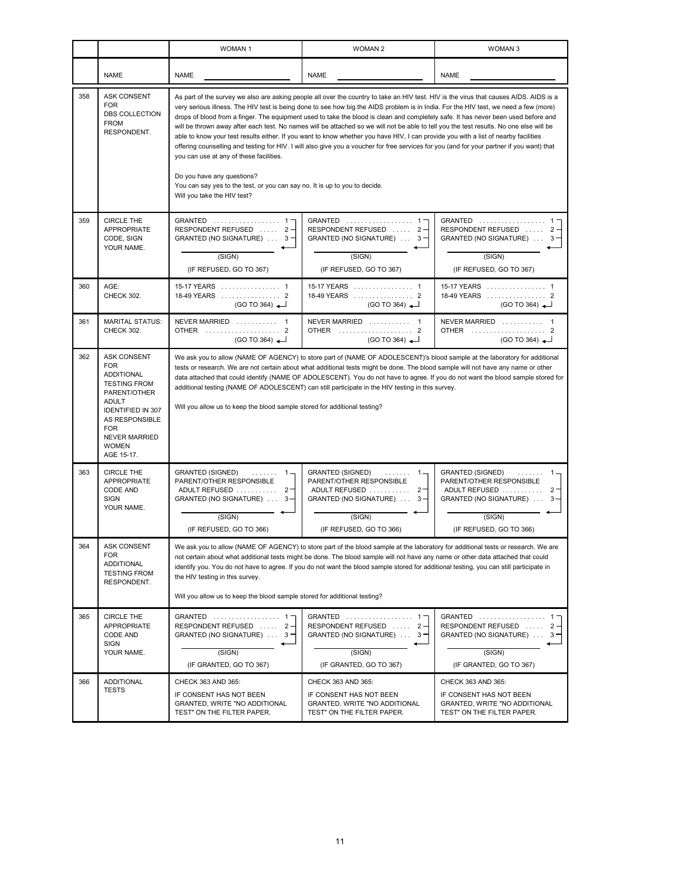|     |                                                                                                                                                                                                                         | <b>WOMAN1</b>                                                                                                                                                                                                                                                                                                                                                                                                                                                                                                                                                                                                                                                                                                                                                                                                                                                                                                                                                                                                                              | <b>WOMAN 2</b>                                                                                                                                                               | <b>WOMAN 3</b>                                                                                                                                                      |  |  |
|-----|-------------------------------------------------------------------------------------------------------------------------------------------------------------------------------------------------------------------------|--------------------------------------------------------------------------------------------------------------------------------------------------------------------------------------------------------------------------------------------------------------------------------------------------------------------------------------------------------------------------------------------------------------------------------------------------------------------------------------------------------------------------------------------------------------------------------------------------------------------------------------------------------------------------------------------------------------------------------------------------------------------------------------------------------------------------------------------------------------------------------------------------------------------------------------------------------------------------------------------------------------------------------------------|------------------------------------------------------------------------------------------------------------------------------------------------------------------------------|---------------------------------------------------------------------------------------------------------------------------------------------------------------------|--|--|
|     | <b>NAME</b>                                                                                                                                                                                                             | <b>NAME</b>                                                                                                                                                                                                                                                                                                                                                                                                                                                                                                                                                                                                                                                                                                                                                                                                                                                                                                                                                                                                                                | <b>NAME</b>                                                                                                                                                                  | <b>NAME</b>                                                                                                                                                         |  |  |
| 358 | <b>ASK CONSENT</b><br><b>FOR</b><br>DBS COLLECTION<br><b>FROM</b><br>RESPONDENT.                                                                                                                                        | As part of the survey we also are asking people all over the country to take an HIV test. HIV is the virus that causes AIDS. AIDS is a<br>very serious illness. The HIV test is being done to see how big the AIDS problem is in India. For the HIV test, we need a few (more)<br>drops of blood from a finger. The equipment used to take the blood is clean and completely safe. It has never been used before and<br>will be thrown away after each test. No names will be attached so we will not be able to tell you the test results. No one else will be<br>able to know your test results either. If you want to know whether you have HIV, I can provide you with a list of nearby facilities<br>offering counselling and testing for HIV. I will also give you a voucher for free services for you (and for your partner if you want) that<br>you can use at any of these facilities.<br>Do you have any questions?<br>You can say yes to the test, or you can say no. It is up to you to decide.<br>Will you take the HIV test? |                                                                                                                                                                              |                                                                                                                                                                     |  |  |
| 359 | <b>CIRCLE THE</b><br>APPROPRIATE<br>CODE, SIGN<br>YOUR NAME.                                                                                                                                                            | GRANTED  1<br>RESPONDENT REFUSED  2-<br>GRANTED (NO SIGNATURE) $\ldots$ 3<br>(SIGN)<br>(IF REFUSED, GO TO 367)                                                                                                                                                                                                                                                                                                                                                                                                                                                                                                                                                                                                                                                                                                                                                                                                                                                                                                                             | GRANTED  1<br>RESPONDENT REFUSED  2-<br>GRANTED (NO SIGNATURE) $\ldots$ 3 $-$<br>(SIGN)<br>(IF REFUSED, GO TO 367)                                                           | GRANTED  1<br>RESPONDENT REFUSED  2-<br>GRANTED (NO SIGNATURE)  3-<br>(SIGN)<br>(IF REFUSED, GO TO 367)                                                             |  |  |
| 360 | AGE:<br>CHECK 302.                                                                                                                                                                                                      | 15-17 YEARS 1<br>18-49 YEARS  2<br>(GO TO 364)                                                                                                                                                                                                                                                                                                                                                                                                                                                                                                                                                                                                                                                                                                                                                                                                                                                                                                                                                                                             | 15-17 YEARS 1<br>18-49 YEARS  2<br>(GO TO 364)                                                                                                                               | 15-17 YEARS 1<br>18-49 YEARS  2<br>(GO TO 364)                                                                                                                      |  |  |
| 361 | <b>MARITAL STATUS:</b><br>CHECK 302.                                                                                                                                                                                    | NEVER MARRIED  1<br>OTHER  2<br>(GO TO 364)                                                                                                                                                                                                                                                                                                                                                                                                                                                                                                                                                                                                                                                                                                                                                                                                                                                                                                                                                                                                | NEVER MARRIED  1<br>OTHER  2<br>(GO TO 364)                                                                                                                                  | OTHER  2<br>(GO TO 364)                                                                                                                                             |  |  |
| 362 | <b>ASK CONSENT</b><br><b>FOR</b><br>ADDITIONAL<br><b>TESTING FROM</b><br>PARENT/OTHER<br><b>ADULT</b><br><b>IDENTIFIED IN 307</b><br>AS RESPONSIBLE<br><b>FOR</b><br><b>NEVER MARRIED</b><br><b>WOMEN</b><br>AGE 15-17. | We ask you to allow (NAME OF AGENCY) to store part of (NAME OF ADOLESCENT)'s blood sample at the laboratory for additional<br>tests or research. We are not certain about what additional tests might be done. The blood sample will not have any name or other<br>data attached that could identify (NAME OF ADOLESCENT). You do not have to agree. If you do not want the blood sample stored for<br>additional testing (NAME OF ADOLESCENT) can still participate in the HIV testing in this survey.<br>Will you allow us to keep the blood sample stored for additional testing?                                                                                                                                                                                                                                                                                                                                                                                                                                                       |                                                                                                                                                                              |                                                                                                                                                                     |  |  |
| 363 | CIRCLE THE<br>APPROPRIATE<br>CODE AND<br><b>SIGN</b><br>YOUR NAME.                                                                                                                                                      | GRANTED (SIGNED)<br>$1 -$<br>1.1.1.1.1.1<br>PARENT/OTHER RESPONSIBLE<br>ADULT REFUSED  2-<br>GRANTED (NO SIGNATURE)  3-<br>(SIGN)<br>(IF REFUSED, GO TO 366)                                                                                                                                                                                                                                                                                                                                                                                                                                                                                                                                                                                                                                                                                                                                                                                                                                                                               | <b>GRANTED (SIGNED)</b><br>$1 -$<br><b>Sandwich</b><br>PARENT/OTHER RESPONSIBLE<br>ADULT REFUSED<br>$2 -$<br>GRANTED (NO SIGNATURE)  3-<br>(SIGN)<br>(IF REFUSED, GO TO 366) | <b>GRANTED (SIGNED)</b><br>.<br>$1 -$<br>PARENT/OTHER RESPONSIBLE<br>ADULT REFUSED<br>$2 -$<br>GRANTED (NO SIGNATURE)<br>$3 -$<br>(SIGN)<br>(IF REFUSED, GO TO 366) |  |  |
| 364 | ASK CONSENT<br><b>FOR</b><br>ADDITIONAL<br><b>TESTING FROM</b><br>RESPONDENT.                                                                                                                                           | We ask you to allow (NAME OF AGENCY) to store part of the blood sample at the laboratory for additional tests or research. We are<br>not certain about what additional tests might be done. The blood sample will not have any name or other data attached that could<br>identify you. You do not have to agree. If you do not want the blood sample stored for additional testing, you can still participate in<br>the HIV testing in this survey.<br>Will you allow us to keep the blood sample stored for additional testing?                                                                                                                                                                                                                                                                                                                                                                                                                                                                                                           |                                                                                                                                                                              |                                                                                                                                                                     |  |  |
| 365 | CIRCLE THE<br>APPROPRIATE<br>CODE AND<br><b>SIGN</b><br>YOUR NAME.                                                                                                                                                      | GRANTED  1<br>RESPONDENT REFUSED  2-<br>GRANTED (NO SIGNATURE) $\ldots$ 3<br>(SIGN)<br>(IF GRANTED, GO TO 367)                                                                                                                                                                                                                                                                                                                                                                                                                                                                                                                                                                                                                                                                                                                                                                                                                                                                                                                             | GRANTED  1-<br>RESPONDENT REFUSED  2-<br>GRANTED (NO SIGNATURE) $\ldots$ 3 $-$<br>(SIGN)<br>(IF GRANTED, GO TO 367)                                                          | GRANTED  1<br>RESPONDENT REFUSED  2-<br>GRANTED (NO SIGNATURE) $\ldots$ 3 $-$<br>(SIGN)<br>(IF GRANTED, GO TO 367)                                                  |  |  |
| 366 | ADDITIONAL<br><b>TESTS</b>                                                                                                                                                                                              | CHECK 363 AND 365:<br>IF CONSENT HAS NOT BEEN<br>GRANTED, WRITE "NO ADDITIONAL<br>TEST" ON THE FILTER PAPER.                                                                                                                                                                                                                                                                                                                                                                                                                                                                                                                                                                                                                                                                                                                                                                                                                                                                                                                               | CHECK 363 AND 365:<br>IF CONSENT HAS NOT BEEN<br>GRANTED, WRITE "NO ADDITIONAL<br>TEST" ON THE FILTER PAPER.                                                                 | CHECK 363 AND 365:<br>IF CONSENT HAS NOT BEEN<br>GRANTED, WRITE "NO ADDITIONAL<br>TEST" ON THE FILTER PAPER.                                                        |  |  |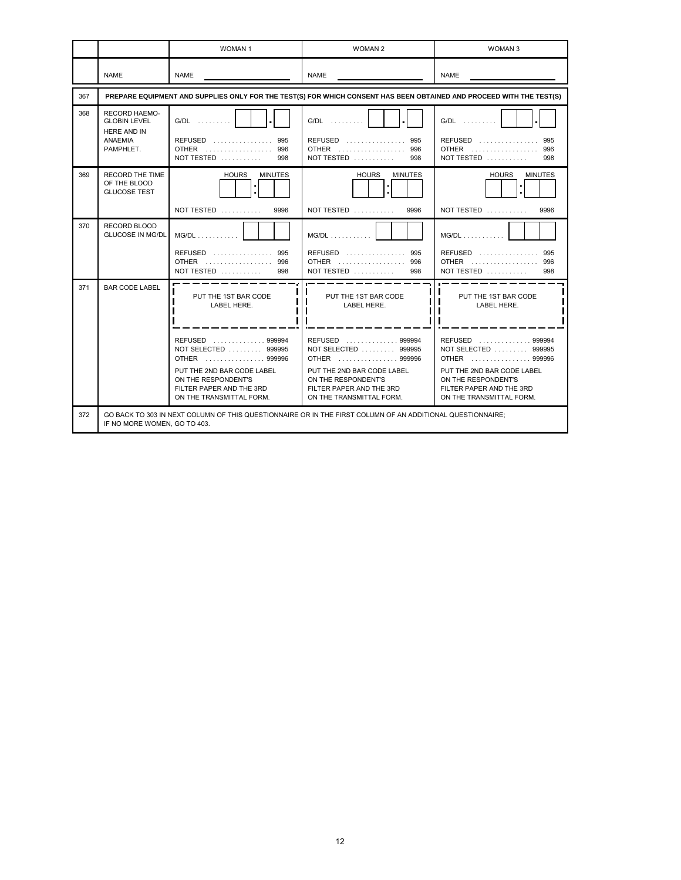|     |                                                                                                                                            | WOMAN <sub>1</sub>                                                                                                                                                                                           | <b>WOMAN 2</b>                                                                                                                                                                                               | WOMAN <sub>3</sub>                                                                                                                                                                                           |  |  |
|-----|--------------------------------------------------------------------------------------------------------------------------------------------|--------------------------------------------------------------------------------------------------------------------------------------------------------------------------------------------------------------|--------------------------------------------------------------------------------------------------------------------------------------------------------------------------------------------------------------|--------------------------------------------------------------------------------------------------------------------------------------------------------------------------------------------------------------|--|--|
|     | <b>NAME</b>                                                                                                                                | <b>NAME</b>                                                                                                                                                                                                  | <b>NAME</b>                                                                                                                                                                                                  | <b>NAME</b>                                                                                                                                                                                                  |  |  |
| 367 |                                                                                                                                            |                                                                                                                                                                                                              | PREPARE EQUIPMENT AND SUPPLIES ONLY FOR THE TEST(S) FOR WHICH CONSENT HAS BEEN OBTAINED AND PROCEED WITH THE TEST(S)                                                                                         |                                                                                                                                                                                                              |  |  |
| 368 | <b>RECORD HAEMO-</b><br><b>GLOBIN LEVEL</b><br>HERE AND IN<br><b>ANAEMIA</b><br>PAMPHLET.                                                  | G/DL<br>REFUSED  995<br>OTHER  996<br>NOT TESTED<br>998                                                                                                                                                      | G/DL<br>REFUSED  995<br>OTHER  996<br>NOT TESTED $\ldots$<br>998                                                                                                                                             | $G/DL$<br><b>REFUSED</b><br>995<br>OTHER  996<br>NOT TESTED<br>998                                                                                                                                           |  |  |
| 369 | <b>RECORD THE TIME</b><br>OF THE BLOOD<br><b>GLUCOSE TEST</b>                                                                              | <b>HOURS</b><br><b>MINUTES</b><br>٠<br>NOT TESTED $\ldots \ldots \ldots$<br>9996                                                                                                                             | <b>HOURS</b><br><b>MINUTES</b><br>٠<br>NOT TESTED $\ldots \ldots \ldots$<br>9996                                                                                                                             | <b>HOURS</b><br><b>MINUTES</b><br>٠<br>NOT TESTED $\ldots \ldots \ldots$<br>9996                                                                                                                             |  |  |
| 370 | RECORD BLOOD<br><b>GLUCOSE IN MG/DL</b>                                                                                                    | $MG/DL$<br>REFUSED  995<br>OTHER  996<br>NOT TESTED $\ldots$<br>998                                                                                                                                          | $MG/DL$<br>REFUSED  995<br>OTHER  996<br>NOT TESTED $\ldots$<br>998                                                                                                                                          | $MG/DL$<br>REFUSED  995<br>OTHER  996<br>NOT TESTED $\dots\dots\dots$<br>998                                                                                                                                 |  |  |
| 371 | <b>BAR CODE LABEL</b>                                                                                                                      | PUT THE 1ST BAR CODE<br>LABEL HERE.<br>REFUSED  999994<br>NOT SELECTED  999995<br>OTHER  999996<br>PUT THE 2ND BAR CODE LABEL<br>ON THE RESPONDENT'S<br>FILTER PAPER AND THE 3RD<br>ON THE TRANSMITTAL FORM. | PUT THE 1ST BAR CODE<br>LABEL HERE.<br>REFUSED  999994<br>NOT SELECTED  999995<br>OTHER  999996<br>PUT THE 2ND BAR CODE LABEL<br>ON THE RESPONDENT'S<br>FILTER PAPER AND THE 3RD<br>ON THE TRANSMITTAL FORM. | PUT THE 1ST BAR CODE<br>LABEL HERE.<br>REFUSED  999994<br>NOT SELECTED  999995<br>OTHER  999996<br>PUT THE 2ND BAR CODE LABEL<br>ON THE RESPONDENT'S<br>FILTER PAPER AND THE 3RD<br>ON THE TRANSMITTAL FORM. |  |  |
| 372 | GO BACK TO 303 IN NEXT COLUMN OF THIS QUESTIONNAIRE OR IN THE FIRST COLUMN OF AN ADDITIONAL QUESTIONNAIRE;<br>IF NO MORE WOMEN, GO TO 403. |                                                                                                                                                                                                              |                                                                                                                                                                                                              |                                                                                                                                                                                                              |  |  |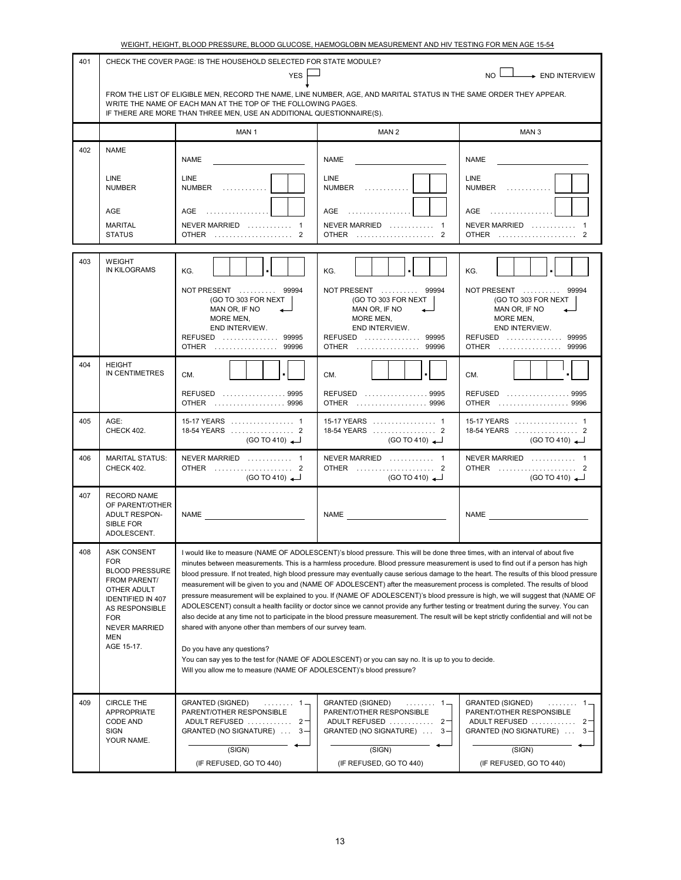|     |                                                                                                                                                                                                   | WEIGHT, HEIGHT, BLOOD PRESSURE, BLOOD GLUCOSE, HAEMOGLOBIN MEASUREMENT AND HIV TESTING FOR MEN AGE 15-54                                                                                                                                                      |                                                                                                                                                                                                                                                                                                                                                                                                                                                                                                                                                                                                                                                                                                                                                                                                                                                                                                                             |                                                                                                                                                                |  |  |
|-----|---------------------------------------------------------------------------------------------------------------------------------------------------------------------------------------------------|---------------------------------------------------------------------------------------------------------------------------------------------------------------------------------------------------------------------------------------------------------------|-----------------------------------------------------------------------------------------------------------------------------------------------------------------------------------------------------------------------------------------------------------------------------------------------------------------------------------------------------------------------------------------------------------------------------------------------------------------------------------------------------------------------------------------------------------------------------------------------------------------------------------------------------------------------------------------------------------------------------------------------------------------------------------------------------------------------------------------------------------------------------------------------------------------------------|----------------------------------------------------------------------------------------------------------------------------------------------------------------|--|--|
| 401 |                                                                                                                                                                                                   | CHECK THE COVER PAGE: IS THE HOUSEHOLD SELECTED FOR STATE MODULE?                                                                                                                                                                                             |                                                                                                                                                                                                                                                                                                                                                                                                                                                                                                                                                                                                                                                                                                                                                                                                                                                                                                                             |                                                                                                                                                                |  |  |
|     | <b>YES</b><br>NO I<br>> END INTERVIEW                                                                                                                                                             |                                                                                                                                                                                                                                                               |                                                                                                                                                                                                                                                                                                                                                                                                                                                                                                                                                                                                                                                                                                                                                                                                                                                                                                                             |                                                                                                                                                                |  |  |
|     |                                                                                                                                                                                                   | FROM THE LIST OF ELIGIBLE MEN, RECORD THE NAME, LINE NUMBER, AGE, AND MARITAL STATUS IN THE SAME ORDER THEY APPEAR.<br>WRITE THE NAME OF EACH MAN AT THE TOP OF THE FOLLOWING PAGES.<br>IF THERE ARE MORE THAN THREE MEN, USE AN ADDITIONAL QUESTIONNAIRE(S). |                                                                                                                                                                                                                                                                                                                                                                                                                                                                                                                                                                                                                                                                                                                                                                                                                                                                                                                             |                                                                                                                                                                |  |  |
|     |                                                                                                                                                                                                   | MAN 1                                                                                                                                                                                                                                                         | MAN 2                                                                                                                                                                                                                                                                                                                                                                                                                                                                                                                                                                                                                                                                                                                                                                                                                                                                                                                       | MAN <sub>3</sub>                                                                                                                                               |  |  |
| 402 | <b>NAME</b>                                                                                                                                                                                       | NAME                                                                                                                                                                                                                                                          | <b>NAME</b>                                                                                                                                                                                                                                                                                                                                                                                                                                                                                                                                                                                                                                                                                                                                                                                                                                                                                                                 | <b>NAME</b>                                                                                                                                                    |  |  |
|     | <b>LINE</b><br><b>NUMBER</b>                                                                                                                                                                      | <b>LINE</b><br>$NUMBER$                                                                                                                                                                                                                                       | <b>LINE</b><br><b>NUMBER</b>                                                                                                                                                                                                                                                                                                                                                                                                                                                                                                                                                                                                                                                                                                                                                                                                                                                                                                | <b>LINE</b><br><b>NUMBER</b>                                                                                                                                   |  |  |
|     | AGE<br><b>MARITAL</b>                                                                                                                                                                             | AGE<br>NEVER MARRIED  1                                                                                                                                                                                                                                       | AGE<br>NEVER MARRIED  1                                                                                                                                                                                                                                                                                                                                                                                                                                                                                                                                                                                                                                                                                                                                                                                                                                                                                                     | AGE<br>NEVER MARRIED  1                                                                                                                                        |  |  |
|     | <b>STATUS</b>                                                                                                                                                                                     | OTHER  2                                                                                                                                                                                                                                                      | <b>OTHER</b><br>2                                                                                                                                                                                                                                                                                                                                                                                                                                                                                                                                                                                                                                                                                                                                                                                                                                                                                                           | OTHER<br>$\mathcal{P}$                                                                                                                                         |  |  |
| 403 | <b>WEIGHT</b><br><b>IN KILOGRAMS</b>                                                                                                                                                              | KG.<br>NOT PRESENT  99994<br>(GO TO 303 FOR NEXT<br>MAN OR, IF NO<br>MORE MEN,<br>END INTERVIEW.<br>REFUSED  99995<br>OTHER  99996                                                                                                                            | KG.<br>NOT PRESENT  99994<br>(GO TO 303 FOR NEXT<br>MAN OR, IF NO<br>MORE MEN,<br>END INTERVIEW.<br>REFUSED  99995<br><b>OTHER</b><br>99996                                                                                                                                                                                                                                                                                                                                                                                                                                                                                                                                                                                                                                                                                                                                                                                 | KG.<br>NOT PRESENT  99994<br>(GO TO 303 FOR NEXT<br>MAN OR, IF NO<br>MORE MEN,<br>END INTERVIEW.<br>REFUSED  99995<br><b>OTHER</b><br>99996                    |  |  |
| 404 | <b>HEIGHT</b><br>IN CENTIMETRES                                                                                                                                                                   | CM.<br>REFUSED 9995<br>OTHER  9996                                                                                                                                                                                                                            | CM.<br>REFUSED  9995<br>OTHER  9996                                                                                                                                                                                                                                                                                                                                                                                                                                                                                                                                                                                                                                                                                                                                                                                                                                                                                         | CM.<br>REFUSED  9995<br>OTHER  9996                                                                                                                            |  |  |
| 405 | AGE:<br>CHECK 402.                                                                                                                                                                                | 15-17 YEARS  1<br>(GO TO 410)                                                                                                                                                                                                                                 | 15-17 YEARS  1<br>(GO TO 410)                                                                                                                                                                                                                                                                                                                                                                                                                                                                                                                                                                                                                                                                                                                                                                                                                                                                                               | 15-17 YEARS  1<br>(GO TO 410)                                                                                                                                  |  |  |
| 406 | <b>MARITAL STATUS:</b><br>CHECK 402.                                                                                                                                                              | NEVER MARRIED  1<br>OTHER  2<br>(GO TO 410)                                                                                                                                                                                                                   | NEVER MARRIED  1<br>OTHER  2<br>(GO TO 410)                                                                                                                                                                                                                                                                                                                                                                                                                                                                                                                                                                                                                                                                                                                                                                                                                                                                                 | NEVER MARRIED  1<br>OTHER  2<br>(GO TO 410)                                                                                                                    |  |  |
| 407 | <b>RECORD NAME</b><br>OF PARENT/OTHER<br>ADULT RESPON-<br>SIBLE FOR<br>ADOLESCENT.                                                                                                                | NAME                                                                                                                                                                                                                                                          | NAME                                                                                                                                                                                                                                                                                                                                                                                                                                                                                                                                                                                                                                                                                                                                                                                                                                                                                                                        | NAME                                                                                                                                                           |  |  |
| 408 | <b>ASK CONSENT</b><br><b>FOR</b><br><b>BLOOD PRESSURE</b><br>FROM PARENT/<br>OTHER ADULT<br><b>IDENTIFIED IN 407</b><br>AS RESPONSIBLE<br><b>FOR</b><br><b>NEVER MARRIED</b><br>MEN<br>AGE 15-17. | shared with anyone other than members of our survey team.<br>Do you have any questions?<br>Will you allow me to measure (NAME OF ADOLESCENT)'s blood pressure?                                                                                                | I would like to measure (NAME OF ADOLESCENT)'s blood pressure. This will be done three times, with an interval of about five<br>minutes between measurements. This is a harmless procedure. Blood pressure measurement is used to find out if a person has high<br>measurement will be given to you and (NAME OF ADOLESCENT) after the measurement process is completed. The results of blood<br>pressure measurement will be explained to you. If (NAME OF ADOLESCENT)'s blood pressure is high, we will suggest that (NAME OF<br>ADOLESCENT) consult a health facility or doctor since we cannot provide any further testing or treatment during the survey. You can<br>also decide at any time not to participate in the blood pressure measurement. The result will be kept strictly confidential and will not be<br>You can say yes to the test for (NAME OF ADOLESCENT) or you can say no. It is up to you to decide. | blood pressure. If not treated, high blood pressure may eventually cause serious damage to the heart. The results of this blood pressure                       |  |  |
| 409 | <b>CIRCLE THE</b><br>APPROPRIATE<br><b>CODE AND</b><br><b>SIGN</b><br>YOUR NAME.                                                                                                                  | <b>GRANTED (SIGNED)</b><br>. 1 =<br>PARENT/OTHER RESPONSIBLE<br>ADULT REFUSED  2<br>GRANTED (NO SIGNATURE)<br>$3 -$<br>(SIGN)<br>(IF REFUSED, GO TO 440)                                                                                                      | <b>GRANTED (SIGNED)</b><br>. 1 –<br>PARENT/OTHER RESPONSIBLE<br>ADULT REFUSED<br>$2 -$<br>GRANTED (NO SIGNATURE)<br>$3 -$<br>(SIGN)<br>(IF REFUSED, GO TO 440)                                                                                                                                                                                                                                                                                                                                                                                                                                                                                                                                                                                                                                                                                                                                                              | <b>GRANTED (SIGNED)</b><br>. 1 —<br>PARENT/OTHER RESPONSIBLE<br>ADULT REFUSED<br>$2 -$<br>GRANTED (NO SIGNATURE)<br>$3 -$<br>(SIGN)<br>(IF REFUSED, GO TO 440) |  |  |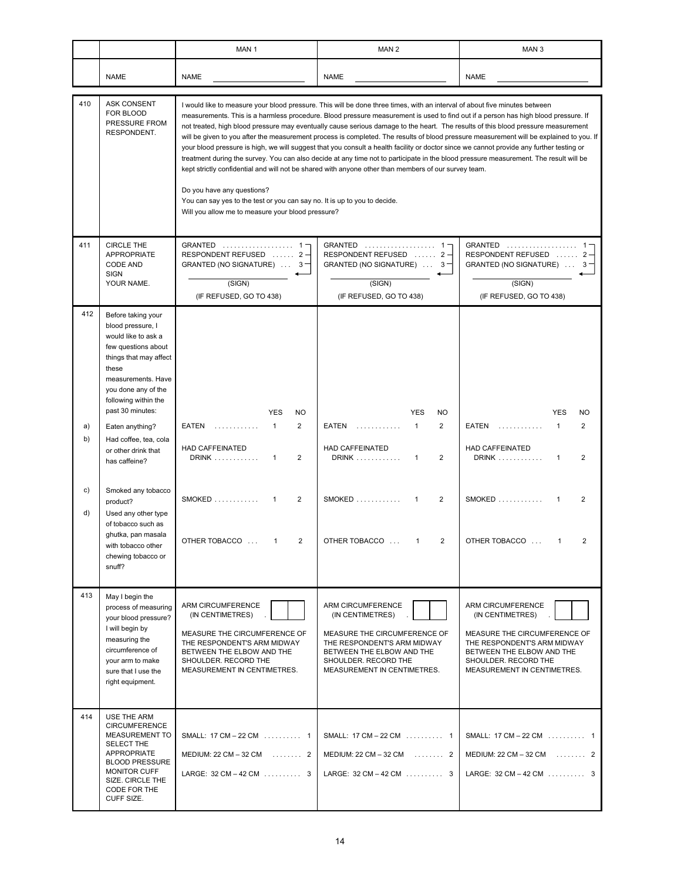|                 |                                                                                                                                                                                                                                                               | MAN <sub>1</sub>                                                                                                                                                                                                                                                                                                                                                                                                                                                                                                                                                                                                                                                                                                                                                                                                                                                                                                                                                                                                                                                                                              | MAN <sub>2</sub>                                                                                                                                                                         | MAN <sub>3</sub>                                                                                                                                                                         |  |  |
|-----------------|---------------------------------------------------------------------------------------------------------------------------------------------------------------------------------------------------------------------------------------------------------------|---------------------------------------------------------------------------------------------------------------------------------------------------------------------------------------------------------------------------------------------------------------------------------------------------------------------------------------------------------------------------------------------------------------------------------------------------------------------------------------------------------------------------------------------------------------------------------------------------------------------------------------------------------------------------------------------------------------------------------------------------------------------------------------------------------------------------------------------------------------------------------------------------------------------------------------------------------------------------------------------------------------------------------------------------------------------------------------------------------------|------------------------------------------------------------------------------------------------------------------------------------------------------------------------------------------|------------------------------------------------------------------------------------------------------------------------------------------------------------------------------------------|--|--|
|                 | <b>NAME</b>                                                                                                                                                                                                                                                   | <b>NAME</b>                                                                                                                                                                                                                                                                                                                                                                                                                                                                                                                                                                                                                                                                                                                                                                                                                                                                                                                                                                                                                                                                                                   | <b>NAME</b>                                                                                                                                                                              | <b>NAME</b>                                                                                                                                                                              |  |  |
| 410             | <b>ASK CONSENT</b><br>FOR BLOOD<br>PRESSURE FROM<br>RESPONDENT.                                                                                                                                                                                               | I would like to measure your blood pressure. This will be done three times, with an interval of about five minutes between<br>measurements. This is a harmless procedure. Blood pressure measurement is used to find out if a person has high blood pressure. If<br>not treated, high blood pressure may eventually cause serious damage to the heart. The results of this blood pressure measurement<br>will be given to you after the measurement process is completed. The results of blood pressure measurement will be explained to you. If<br>your blood pressure is high, we will suggest that you consult a health facility or doctor since we cannot provide any further testing or<br>treatment during the survey. You can also decide at any time not to participate in the blood pressure measurement. The result will be<br>kept strictly confidential and will not be shared with anyone other than members of our survey team.<br>Do you have any questions?<br>You can say yes to the test or you can say no. It is up to you to decide.<br>Will you allow me to measure your blood pressure? |                                                                                                                                                                                          |                                                                                                                                                                                          |  |  |
| 411             | <b>CIRCLE THE</b><br><b>APPROPRIATE</b><br><b>CODE AND</b><br><b>SIGN</b><br>YOUR NAME.                                                                                                                                                                       | GRANTED  1-<br>RESPONDENT REFUSED  2-<br>GRANTED (NO SIGNATURE)  3-<br>(SIGN)<br>(IF REFUSED, GO TO 438)                                                                                                                                                                                                                                                                                                                                                                                                                                                                                                                                                                                                                                                                                                                                                                                                                                                                                                                                                                                                      | GRANTED  1-<br>RESPONDENT REFUSED  2-<br>GRANTED (NO SIGNATURE) $\ldots$ 3<br>(SIGN)<br>(IF REFUSED, GO TO 438)                                                                          | GRANTED  1-<br>RESPONDENT REFUSED  2-<br>GRANTED (NO SIGNATURE)  3-<br>(SIGN)<br>(IF REFUSED, GO TO 438)                                                                                 |  |  |
| 412<br>a)<br>b) | Before taking your<br>blood pressure, I<br>would like to ask a<br>few questions about<br>things that may affect<br>these<br>measurements. Have<br>you done any of the<br>following within the<br>past 30 minutes:<br>Eaten anything?<br>Had coffee, tea, cola | <b>YES</b><br>NO<br>$\overline{2}$<br>EATEN<br>1<br>.                                                                                                                                                                                                                                                                                                                                                                                                                                                                                                                                                                                                                                                                                                                                                                                                                                                                                                                                                                                                                                                         | <b>YES</b><br>NO<br>$\overline{2}$<br>EATEN<br>$\mathbf{1}$<br>.                                                                                                                         | <b>YES</b><br><b>NO</b><br>EATEN<br>1<br>$\overline{2}$<br>.                                                                                                                             |  |  |
|                 | or other drink that<br>has caffeine?                                                                                                                                                                                                                          | <b>HAD CAFFEINATED</b><br><b>DRINK</b><br>$\overline{2}$<br>1                                                                                                                                                                                                                                                                                                                                                                                                                                                                                                                                                                                                                                                                                                                                                                                                                                                                                                                                                                                                                                                 | <b>HAD CAFFEINATED</b><br>DRINK<br>$\overline{2}$<br>$\mathbf{1}$                                                                                                                        | <b>HAD CAFFEINATED</b><br><b>DRINK</b><br>$\overline{2}$<br>1                                                                                                                            |  |  |
| C)<br>d)        | Smoked any tobacco<br>product?<br>Used any other type<br>of tobacco such as<br>ghutka, pan masala<br>with tobacco other                                                                                                                                       | $SMOKED$<br>$\overline{2}$<br>1<br>OTHER TOBACCO<br>2<br>$\mathbf{1}$                                                                                                                                                                                                                                                                                                                                                                                                                                                                                                                                                                                                                                                                                                                                                                                                                                                                                                                                                                                                                                         | $SMOKED$<br>2<br>$\mathbf{1}$<br>OTHER TOBACCO<br>2<br>$\mathbf{1}$                                                                                                                      | <b>SMOKED</b><br>$\overline{2}$<br>1<br>OTHER TOBACCO<br>2<br>$\mathbf{1}$                                                                                                               |  |  |
|                 | chewing tobacco or<br>snuff?                                                                                                                                                                                                                                  |                                                                                                                                                                                                                                                                                                                                                                                                                                                                                                                                                                                                                                                                                                                                                                                                                                                                                                                                                                                                                                                                                                               |                                                                                                                                                                                          |                                                                                                                                                                                          |  |  |
| 413             | May I begin the<br>process of measuring<br>your blood pressure?<br>I will begin by<br>measuring the<br>circumference of<br>your arm to make<br>sure that I use the<br>right equipment.                                                                        | ARM CIRCUMFERENCE<br>(IN CENTIMETRES)<br>MEASURE THE CIRCUMFERENCE OF<br>THE RESPONDENT'S ARM MIDWAY<br>BETWEEN THE ELBOW AND THE<br>SHOULDER. RECORD THE<br>MEASUREMENT IN CENTIMETRES.                                                                                                                                                                                                                                                                                                                                                                                                                                                                                                                                                                                                                                                                                                                                                                                                                                                                                                                      | ARM CIRCUMFERENCE<br>(IN CENTIMETRES)<br>MEASURE THE CIRCUMFERENCE OF<br>THE RESPONDENT'S ARM MIDWAY<br>BETWEEN THE ELBOW AND THE<br>SHOULDER. RECORD THE<br>MEASUREMENT IN CENTIMETRES. | ARM CIRCUMFERENCE<br>(IN CENTIMETRES)<br>MEASURE THE CIRCUMFERENCE OF<br>THE RESPONDENT'S ARM MIDWAY<br>BETWEEN THE ELBOW AND THE<br>SHOULDER. RECORD THE<br>MEASUREMENT IN CENTIMETRES. |  |  |
| 414             | USE THE ARM<br><b>CIRCUMFERENCE</b><br>MEASUREMENT TO<br>SELECT THE<br>APPROPRIATE<br><b>BLOOD PRESSURE</b><br><b>MONITOR CUFF</b><br>SIZE. CIRCLE THE<br>CODE FOR THE<br>CUFF SIZE.                                                                          | SMALL: 17 CM - 22 CM  1<br>MEDIUM: $22 \text{ CM} - 32 \text{ CM}$ 2<br>LARGE: 32 CM - 42 CM  3                                                                                                                                                                                                                                                                                                                                                                                                                                                                                                                                                                                                                                                                                                                                                                                                                                                                                                                                                                                                               | SMALL: 17 CM - 22 CM  1<br>MEDIUM: $22 \text{ CM} - 32 \text{ CM}$ 2<br>LARGE: $32 \text{ CM} - 42 \text{ CM}$ 3                                                                         | SMALL: 17 CM - 22 CM  1<br>MEDIUM: $22 \text{ CM} - 32 \text{ CM}$ 2<br>LARGE: $32 \text{ CM} - 42 \text{ CM}$ 3                                                                         |  |  |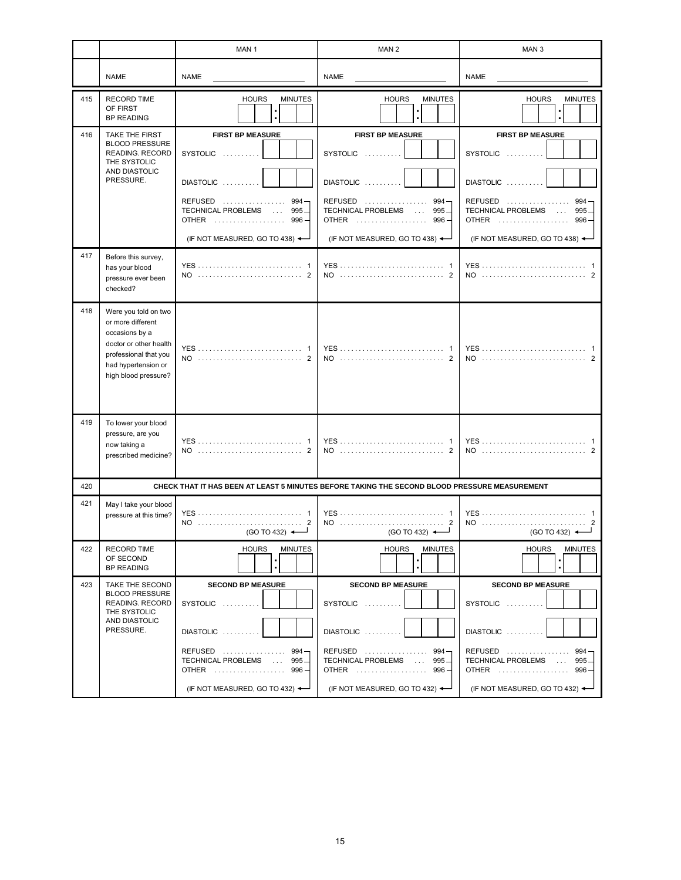|     |                                                                                                                                                               | MAN <sub>1</sub>                                                                                                                                                   | MAN <sub>2</sub>                                                                                                                                                   | MAN <sub>3</sub>                                                                                                                                                             |
|-----|---------------------------------------------------------------------------------------------------------------------------------------------------------------|--------------------------------------------------------------------------------------------------------------------------------------------------------------------|--------------------------------------------------------------------------------------------------------------------------------------------------------------------|------------------------------------------------------------------------------------------------------------------------------------------------------------------------------|
|     | <b>NAME</b>                                                                                                                                                   | <b>NAME</b>                                                                                                                                                        | <b>NAME</b>                                                                                                                                                        | <b>NAME</b>                                                                                                                                                                  |
| 415 | <b>RECORD TIME</b><br>OF FIRST<br><b>BP READING</b>                                                                                                           | <b>HOURS</b><br><b>MINUTES</b>                                                                                                                                     | <b>HOURS</b><br><b>MINUTES</b>                                                                                                                                     | <b>HOURS</b><br><b>MINUTES</b>                                                                                                                                               |
| 416 | <b>TAKE THE FIRST</b><br><b>BLOOD PRESSURE</b><br><b>READING. RECORD</b><br>THE SYSTOLIC<br>AND DIASTOLIC<br>PRESSURE.                                        | <b>FIRST BP MEASURE</b><br>SYSTOLIC<br>DIASTOLIC<br>REFUSED<br>$994 -$<br>TECHNICAL PROBLEMS<br>$995 -$<br><b>OTHER</b><br>$996 -$<br>(IF NOT MEASURED, GO TO 438) | <b>FIRST BP MEASURE</b><br>SYSTOLIC<br>DIASTOLIC<br>REFUSED<br>$994 -$<br>TECHNICAL PROBLEMS<br>$995 -$<br><b>OTHER</b><br>$996 -$<br>(IF NOT MEASURED, GO TO 438) | <b>FIRST BP MEASURE</b><br>SYSTOLIC<br>DIASTOLIC<br><b>REFUSED</b><br>.<br>$994 -$<br>TECHNICAL PROBLEMS<br>$995 -$<br><b>OTHER</b><br>996<br>(IF NOT MEASURED, GO TO 438) < |
| 417 | Before this survey,<br>has your blood<br>pressure ever been<br>checked?                                                                                       |                                                                                                                                                                    |                                                                                                                                                                    | NO  2                                                                                                                                                                        |
| 418 | Were you told on two<br>or more different<br>occasions by a<br>doctor or other health<br>professional that you<br>had hypertension or<br>high blood pressure? | NO                                                                                                                                                                 | <b>YES</b><br>NO                                                                                                                                                   | NO                                                                                                                                                                           |
| 419 | To lower your blood<br>pressure, are you<br>now taking a<br>prescribed medicine?                                                                              | <b>YES</b><br>NO                                                                                                                                                   |                                                                                                                                                                    |                                                                                                                                                                              |
| 420 |                                                                                                                                                               | CHECK THAT IT HAS BEEN AT LEAST 5 MINUTES BEFORE TAKING THE SECOND BLOOD PRESSURE MEASUREMENT                                                                      |                                                                                                                                                                    |                                                                                                                                                                              |
| 421 | May I take your blood<br>pressure at this time?                                                                                                               | $(GO TO 432)$ $\leftarrow$                                                                                                                                         | $(GO TO 432)$ $\leftarrow$                                                                                                                                         | (GO TO 432) $\triangleleft$                                                                                                                                                  |
| 422 | <b>RECORD TIME</b><br>OF SECOND<br><b>BP READING</b>                                                                                                          | <b>MINUTES</b><br><b>HOURS</b>                                                                                                                                     | <b>HOURS</b><br><b>MINUTES</b>                                                                                                                                     | <b>HOURS</b><br><b>MINUTES</b>                                                                                                                                               |
| 423 | TAKE THE SECOND<br><b>BLOOD PRESSURE</b><br>READING. RECORD<br>THE SYSTOLIC<br>AND DIASTOLIC<br>PRESSURE.                                                     | <b>SECOND BP MEASURE</b><br>SYSTOLIC<br>DIASTOLIC<br>REFUSED  994-<br>TECHNICAL PROBLEMS  995<br>OTHER  996-<br>(IF NOT MEASURED, GO TO 432) $\leftarrow$          | <b>SECOND BP MEASURE</b><br>SYSTOLIC<br>$DIASTOLIC$<br>REFUSED  994 -<br>TECHNICAL PROBLEMS  995<br>OTHER  996 -<br>(IF NOT MEASURED, GO TO 432) $\leftarrow$      | <b>SECOND BP MEASURE</b><br>SYSTOLIC<br>DIASTOLIC<br>REFUSED  994<br>TECHNICAL PROBLEMS  995<br>OTHER  996-<br>(IF NOT MEASURED, GO TO 432) $\leftarrow$                     |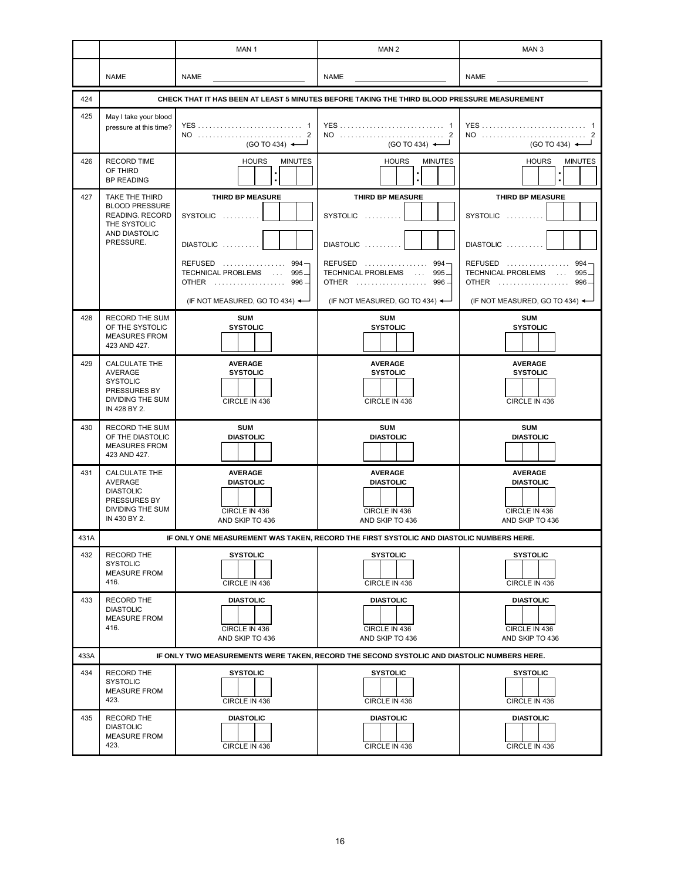|      |                                                                                                                 | MAN <sub>1</sub>                                                                                                                                               | MAN <sub>2</sub>                                                                                                                                               | MAN <sub>3</sub>                                                                                                                                             |  |  |
|------|-----------------------------------------------------------------------------------------------------------------|----------------------------------------------------------------------------------------------------------------------------------------------------------------|----------------------------------------------------------------------------------------------------------------------------------------------------------------|--------------------------------------------------------------------------------------------------------------------------------------------------------------|--|--|
|      | <b>NAME</b>                                                                                                     | <b>NAME</b>                                                                                                                                                    | <b>NAME</b>                                                                                                                                                    | <b>NAME</b>                                                                                                                                                  |  |  |
| 424  | CHECK THAT IT HAS BEEN AT LEAST 5 MINUTES BEFORE TAKING THE THIRD BLOOD PRESSURE MEASUREMENT                    |                                                                                                                                                                |                                                                                                                                                                |                                                                                                                                                              |  |  |
| 425  | May I take your blood<br>pressure at this time?                                                                 | (GO TO 434) $\leftarrow$                                                                                                                                       | $(GO TO 434)$ $\longleftarrow$                                                                                                                                 | NO<br>(GO TO 434) ←                                                                                                                                          |  |  |
| 426  | <b>RECORD TIME</b><br>OF THIRD<br><b>BP READING</b>                                                             | <b>HOURS</b><br><b>MINUTES</b>                                                                                                                                 | <b>HOURS</b><br><b>MINUTES</b><br>$\cdot$                                                                                                                      | <b>HOURS</b><br><b>MINUTES</b>                                                                                                                               |  |  |
| 427  | TAKE THE THIRD<br><b>BLOOD PRESSURE</b><br><b>READING. RECORD</b><br>THE SYSTOLIC<br>AND DIASTOLIC<br>PRESSURE. | THIRD BP MEASURE<br>SYSTOLIC<br>DIASTOLIC<br>REFUSED<br>$994 -$<br>TECHNICAL PROBLEMS<br>$995 -$<br>OTHER<br>996-<br>(IF NOT MEASURED, GO TO 434) $\leftarrow$ | THIRD BP MEASURE<br>SYSTOLIC<br>DIASTOLIC<br>REFUSED<br>$994 -$<br>TECHNICAL PROBLEMS<br>$995 -$<br><b>OTHER</b><br>$996 -$<br>(IF NOT MEASURED, GO TO 434) <- | THIRD BP MEASURE<br>SYSTOLIC<br>DIASTOLIC<br>REFUSED<br>994<br>TECHNICAL PROBLEMS<br>995<br><b>OTHER</b><br>996<br>(IF NOT MEASURED, GO TO 434) $\leftarrow$ |  |  |
| 428  | <b>RECORD THE SUM</b><br>OF THE SYSTOLIC<br><b>MEASURES FROM</b><br>423 AND 427.                                | <b>SUM</b><br><b>SYSTOLIC</b>                                                                                                                                  | <b>SUM</b><br><b>SYSTOLIC</b>                                                                                                                                  | <b>SUM</b><br><b>SYSTOLIC</b>                                                                                                                                |  |  |
| 429  | <b>CALCULATE THE</b><br>AVERAGE<br><b>SYSTOLIC</b><br>PRESSURES BY<br>DIVIDING THE SUM<br>IN 428 BY 2.          | <b>AVERAGE</b><br><b>SYSTOLIC</b><br>CIRCLE IN 436                                                                                                             | <b>AVERAGE</b><br><b>SYSTOLIC</b><br>CIRCLE IN 436                                                                                                             | <b>AVERAGE</b><br><b>SYSTOLIC</b><br>CIRCLE IN 436                                                                                                           |  |  |
| 430  | <b>RECORD THE SUM</b><br>OF THE DIASTOLIC<br><b>MEASURES FROM</b><br>423 AND 427.                               | <b>SUM</b><br><b>DIASTOLIC</b>                                                                                                                                 | <b>SUM</b><br><b>DIASTOLIC</b>                                                                                                                                 | <b>SUM</b><br><b>DIASTOLIC</b>                                                                                                                               |  |  |
| 431  | <b>CALCULATE THE</b><br><b>AVERAGE</b><br><b>DIASTOLIC</b><br>PRESSURES BY<br>DIVIDING THE SUM<br>IN 430 BY 2.  | <b>AVERAGE</b><br><b>DIASTOLIC</b><br>CIRCLE IN 436<br>AND SKIP TO 436                                                                                         | <b>AVERAGE</b><br><b>DIASTOLIC</b><br>CIRCLE IN 436<br>AND SKIP TO 436                                                                                         | <b>AVERAGE</b><br><b>DIASTOLIC</b><br>CIRCLE IN 436<br>AND SKIP TO 436                                                                                       |  |  |
| 431A |                                                                                                                 |                                                                                                                                                                | IF ONLY ONE MEASUREMENT WAS TAKEN, RECORD THE FIRST SYSTOLIC AND DIASTOLIC NUMBERS HERE.                                                                       |                                                                                                                                                              |  |  |
| 432  | <b>RECORD THE</b><br><b>SYSTOLIC</b><br><b>MEASURE FROM</b><br>416.                                             | <b>SYSTOLIC</b><br>CIRCLE IN 436                                                                                                                               | <b>SYSTOLIC</b><br>CIRCLE IN 436                                                                                                                               | <b>SYSTOLIC</b><br>CIRCLE IN 436                                                                                                                             |  |  |
| 433  | RECORD THE<br><b>DIASTOLIC</b><br><b>MEASURE FROM</b><br>416.                                                   | <b>DIASTOLIC</b><br>CIRCLE IN 436<br>AND SKIP TO 436                                                                                                           | <b>DIASTOLIC</b><br>CIRCLE IN 436<br>AND SKIP TO 436                                                                                                           | <b>DIASTOLIC</b><br>CIRCLE IN 436<br>AND SKIP TO 436                                                                                                         |  |  |
| 433A |                                                                                                                 |                                                                                                                                                                | IF ONLY TWO MEASUREMENTS WERE TAKEN, RECORD THE SECOND SYSTOLIC AND DIASTOLIC NUMBERS HERE.                                                                    |                                                                                                                                                              |  |  |
| 434  | RECORD THE<br><b>SYSTOLIC</b><br><b>MEASURE FROM</b><br>423.                                                    | <b>SYSTOLIC</b><br>CIRCLE IN 436                                                                                                                               | <b>SYSTOLIC</b><br>CIRCLE IN 436                                                                                                                               | <b>SYSTOLIC</b><br>CIRCLE IN 436                                                                                                                             |  |  |
| 435  | <b>RECORD THE</b><br><b>DIASTOLIC</b><br><b>MEASURE FROM</b><br>423.                                            | <b>DIASTOLIC</b><br>CIRCLE IN 436                                                                                                                              | <b>DIASTOLIC</b><br>CIRCLE IN 436                                                                                                                              | <b>DIASTOLIC</b><br>CIRCLE IN 436                                                                                                                            |  |  |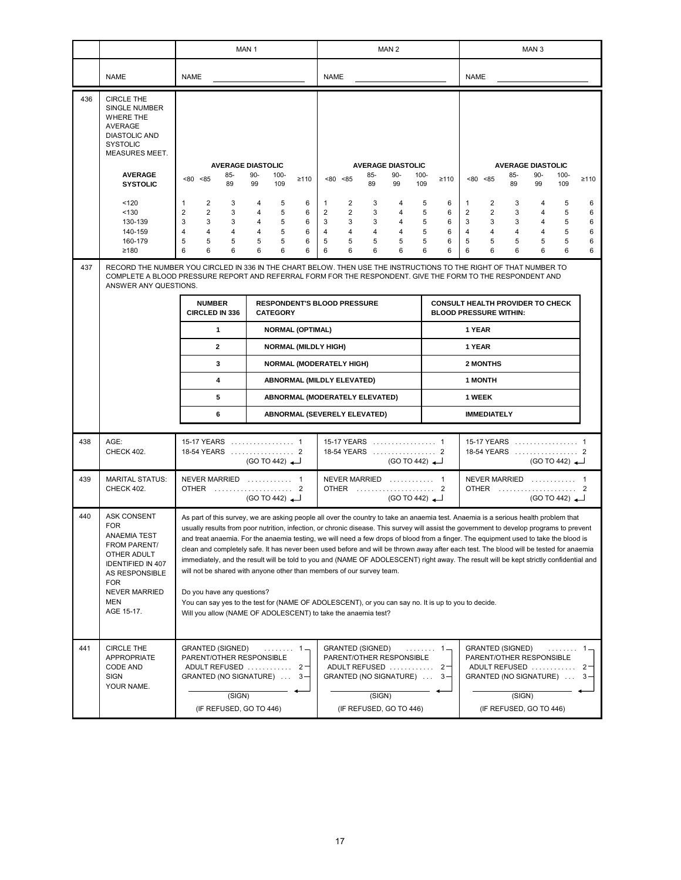|     |                                                                                                                                                                                   |                                                                                                                                                                                                                                                                                                                                                                                                                                                                                                                                                                                                                                                                                                                                                                                                                                                                                                                                                                                             | MAN <sub>1</sub>                                                                                                                                                                                                                |                                                                                                 | MAN <sub>2</sub>                                                                                                |                                                          |                                                                                                                                                         | MAN <sub>3</sub>                                                                  |                            |
|-----|-----------------------------------------------------------------------------------------------------------------------------------------------------------------------------------|---------------------------------------------------------------------------------------------------------------------------------------------------------------------------------------------------------------------------------------------------------------------------------------------------------------------------------------------------------------------------------------------------------------------------------------------------------------------------------------------------------------------------------------------------------------------------------------------------------------------------------------------------------------------------------------------------------------------------------------------------------------------------------------------------------------------------------------------------------------------------------------------------------------------------------------------------------------------------------------------|---------------------------------------------------------------------------------------------------------------------------------------------------------------------------------------------------------------------------------|-------------------------------------------------------------------------------------------------|-----------------------------------------------------------------------------------------------------------------|----------------------------------------------------------|---------------------------------------------------------------------------------------------------------------------------------------------------------|-----------------------------------------------------------------------------------|----------------------------|
|     | <b>NAME</b>                                                                                                                                                                       | <b>NAME</b>                                                                                                                                                                                                                                                                                                                                                                                                                                                                                                                                                                                                                                                                                                                                                                                                                                                                                                                                                                                 |                                                                                                                                                                                                                                 | <b>NAME</b>                                                                                     |                                                                                                                 |                                                          | <b>NAME</b>                                                                                                                                             |                                                                                   |                            |
| 436 | <b>CIRCLE THE</b><br><b>SINGLE NUMBER</b><br><b>WHERE THE</b><br>AVERAGE<br><b>DIASTOLIC AND</b><br><b>SYSTOLIC</b><br>MEASURES MEET.                                             |                                                                                                                                                                                                                                                                                                                                                                                                                                                                                                                                                                                                                                                                                                                                                                                                                                                                                                                                                                                             |                                                                                                                                                                                                                                 |                                                                                                 |                                                                                                                 |                                                          |                                                                                                                                                         |                                                                                   |                            |
|     | <b>AVERAGE</b>                                                                                                                                                                    | 85-<br>< 80 < 85                                                                                                                                                                                                                                                                                                                                                                                                                                                                                                                                                                                                                                                                                                                                                                                                                                                                                                                                                                            | <b>AVERAGE DIASTOLIC</b><br>$90 -$<br>$100 -$<br>$\geq 110$                                                                                                                                                                     | $< 80$ $< 85$                                                                                   | <b>AVERAGE DIASTOLIC</b><br>85-<br>$90-$                                                                        | $100 -$<br>$\geq 110$                                    | 85-<br>$< 80$ $< 85$                                                                                                                                    | <b>AVERAGE DIASTOLIC</b><br>$90 -$<br>$100 -$                                     | $\geq 110$                 |
|     | <b>SYSTOLIC</b>                                                                                                                                                                   | 89                                                                                                                                                                                                                                                                                                                                                                                                                                                                                                                                                                                                                                                                                                                                                                                                                                                                                                                                                                                          | 99<br>109                                                                                                                                                                                                                       |                                                                                                 | 89<br>99                                                                                                        | 109                                                      | 89                                                                                                                                                      | 99<br>109                                                                         |                            |
|     | 120<br>< 130<br>130-139<br>140-159<br>160-179<br>≥180                                                                                                                             | $\mathbf{1}$<br>2<br>3<br>$\overline{2}$<br>$\overline{2}$<br>3<br>3<br>3<br>3<br>$\overline{4}$<br>4<br>$\overline{4}$<br>5<br>5<br>5<br>6<br>6<br>6                                                                                                                                                                                                                                                                                                                                                                                                                                                                                                                                                                                                                                                                                                                                                                                                                                       | 4<br>5<br>6<br>5<br>6<br>4<br>5<br>6<br>4<br>5<br>6<br>4<br>5<br>6<br>5<br>6<br>6<br>6                                                                                                                                          | 2<br>1<br>$\overline{2}$<br>2<br>3<br>3<br>$\overline{4}$<br>$\overline{4}$<br>5<br>5<br>6<br>6 | 3<br>4<br>3<br>4<br>3<br>4<br>$\overline{4}$<br>4<br>5<br>5<br>6<br>6                                           | 5<br>6<br>5<br>6<br>6<br>5<br>6<br>5<br>5<br>6<br>6<br>6 | 2<br>3<br>1<br>$\overline{2}$<br>$\overline{2}$<br>3<br>3<br>3<br>3<br>$\overline{4}$<br>$\overline{4}$<br>$\overline{4}$<br>5<br>5<br>5<br>6<br>6<br>6 | 4<br>5<br>5<br>4<br>5<br>4<br>5<br>4<br>5<br>5<br>6<br>6                          | 6<br>6<br>6<br>6<br>6<br>6 |
| 437 | ANSWER ANY QUESTIONS.                                                                                                                                                             |                                                                                                                                                                                                                                                                                                                                                                                                                                                                                                                                                                                                                                                                                                                                                                                                                                                                                                                                                                                             | RECORD THE NUMBER YOU CIRCLED IN 336 IN THE CHART BELOW. THEN USE THE INSTRUCTIONS TO THE RIGHT OF THAT NUMBER TO<br>COMPLETE A BLOOD PRESSURE REPORT AND REFERRAL FORM FOR THE RESPONDENT. GIVE THE FORM TO THE RESPONDENT AND |                                                                                                 |                                                                                                                 |                                                          |                                                                                                                                                         |                                                                                   |                            |
|     |                                                                                                                                                                                   | <b>NUMBER</b><br>CIRCLED IN 336                                                                                                                                                                                                                                                                                                                                                                                                                                                                                                                                                                                                                                                                                                                                                                                                                                                                                                                                                             | <b>RESPONDENT'S BLOOD PRESSURE</b><br><b>CATEGORY</b>                                                                                                                                                                           |                                                                                                 |                                                                                                                 |                                                          | <b>CONSULT HEALTH PROVIDER TO CHECK</b><br><b>BLOOD PRESSURE WITHIN:</b>                                                                                |                                                                                   |                            |
|     |                                                                                                                                                                                   | 1                                                                                                                                                                                                                                                                                                                                                                                                                                                                                                                                                                                                                                                                                                                                                                                                                                                                                                                                                                                           | NORMAL (OPTIMAL)                                                                                                                                                                                                                |                                                                                                 |                                                                                                                 |                                                          | 1 YEAR                                                                                                                                                  |                                                                                   |                            |
|     |                                                                                                                                                                                   | $\mathbf{2}$                                                                                                                                                                                                                                                                                                                                                                                                                                                                                                                                                                                                                                                                                                                                                                                                                                                                                                                                                                                | <b>NORMAL (MILDLY HIGH)</b>                                                                                                                                                                                                     |                                                                                                 |                                                                                                                 |                                                          | 1 YEAR                                                                                                                                                  |                                                                                   |                            |
|     |                                                                                                                                                                                   | 3<br>4                                                                                                                                                                                                                                                                                                                                                                                                                                                                                                                                                                                                                                                                                                                                                                                                                                                                                                                                                                                      | <b>NORMAL (MODERATELY HIGH)</b>                                                                                                                                                                                                 |                                                                                                 |                                                                                                                 |                                                          | 2 MONTHS                                                                                                                                                |                                                                                   |                            |
|     |                                                                                                                                                                                   | 5                                                                                                                                                                                                                                                                                                                                                                                                                                                                                                                                                                                                                                                                                                                                                                                                                                                                                                                                                                                           |                                                                                                                                                                                                                                 | <b>ABNORMAL (MILDLY ELEVATED)</b><br>ABNORMAL (MODERATELY ELEVATED)                             |                                                                                                                 |                                                          | <b>1 MONTH</b><br>1 WEEK                                                                                                                                |                                                                                   |                            |
|     |                                                                                                                                                                                   | 6                                                                                                                                                                                                                                                                                                                                                                                                                                                                                                                                                                                                                                                                                                                                                                                                                                                                                                                                                                                           |                                                                                                                                                                                                                                 | ABNORMAL (SEVERELY ELEVATED)                                                                    |                                                                                                                 |                                                          | <b>IMMEDIATELY</b>                                                                                                                                      |                                                                                   |                            |
| 438 | AGE:<br><b>CHECK 402.</b>                                                                                                                                                         | 15-17 YEARS  1<br>18-54 YEARS  2                                                                                                                                                                                                                                                                                                                                                                                                                                                                                                                                                                                                                                                                                                                                                                                                                                                                                                                                                            | (GO TO 442)                                                                                                                                                                                                                     |                                                                                                 | 15-17 YEARS  1<br>18-54 YEARS  2<br>$(GO TO 442)$ <sup>-</sup>                                                  |                                                          |                                                                                                                                                         | 15-17 YEARS  1<br>18-54 YEARS  2<br>(GO TO 442)                                   |                            |
| 439 | <b>MARITAL STATUS:</b><br>CHECK 402.                                                                                                                                              | NEVER MARRIED  1<br>OTHER  2                                                                                                                                                                                                                                                                                                                                                                                                                                                                                                                                                                                                                                                                                                                                                                                                                                                                                                                                                                | (GO TO 442)                                                                                                                                                                                                                     |                                                                                                 | NEVER MARRIED  1<br>OTHER  2<br>(GO TO 442)                                                                     |                                                          |                                                                                                                                                         | NEVER MARRIED  1<br>OTHER  2<br>(GO TO 442)                                       |                            |
| 440 | <b>ASK CONSENT</b><br><b>FOR</b><br>ANAEMIA TEST<br>FROM PARENT/<br>OTHER ADULT<br><b>IDENTIFIED IN 407</b><br>AS RESPONSIBLE<br>FOR<br><b>NEVER MARRIED</b><br>MEN<br>AGE 15-17. | As part of this survey, we are asking people all over the country to take an anaemia test. Anaemia is a serious health problem that<br>usually results from poor nutrition, infection, or chronic disease. This survey will assist the government to develop programs to prevent<br>and treat anaemia. For the anaemia testing, we will need a few drops of blood from a finger. The equipment used to take the blood is<br>clean and completely safe. It has never been used before and will be thrown away after each test. The blood will be tested for anaemia<br>immediately, and the result will be told to you and (NAME OF ADOLESCENT) right away. The result will be kept strictly confidential and<br>will not be shared with anyone other than members of our survey team.<br>Do you have any questions?<br>You can say yes to the test for (NAME OF ADOLESCENT), or you can say no. It is up to you to decide.<br>Will you allow (NAME OF ADOLESCENT) to take the anaemia test? |                                                                                                                                                                                                                                 |                                                                                                 |                                                                                                                 |                                                          |                                                                                                                                                         |                                                                                   |                            |
| 441 | <b>CIRCLE THE</b><br><b>APPROPRIATE</b><br>CODE AND<br>SIGN<br>YOUR NAME.                                                                                                         | <b>GRANTED (SIGNED)</b><br>PARENT/OTHER RESPONSIBLE<br>GRANTED (NO SIGNATURE)  3-<br>(SIGN)<br>(IF REFUSED, GO TO 446)                                                                                                                                                                                                                                                                                                                                                                                                                                                                                                                                                                                                                                                                                                                                                                                                                                                                      | . 1 =<br>ADULT REFUSED  2                                                                                                                                                                                                       | <b>GRANTED (SIGNED)</b>                                                                         | PARENT/OTHER RESPONSIBLE<br>ADULT REFUSED  2<br>GRANTED (NO SIGNATURE)  3-<br>(SIGN)<br>(IF REFUSED, GO TO 446) | . 1 —                                                    | <b>GRANTED (SIGNED)</b><br>PARENT/OTHER RESPONSIBLE                                                                                                     | .<br>ADULT REFUSED<br>GRANTED (NO SIGNATURE)<br>(SIGN)<br>(IF REFUSED, GO TO 446) | $1 -$<br>$2 -$<br>$3 -$    |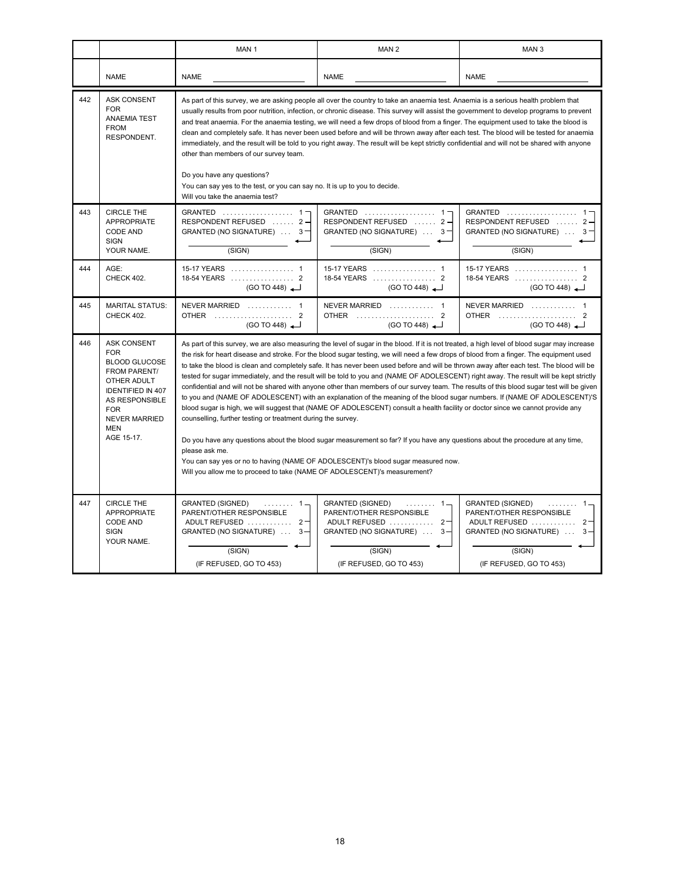|     |                                                                                                                                                                                                                | MAN <sub>1</sub>                                                                                                                                                                                                                                                                                                                                                                                                                                                                                                                                                                                                                                                                                                                                                                                                                                                                                                                                                                                                                                                                                                                                                                                                                                                                                                                                                              | MAN <sub>2</sub><br>MAN <sub>3</sub>                                                                                                                |                                                                                                                                                       |  |  |
|-----|----------------------------------------------------------------------------------------------------------------------------------------------------------------------------------------------------------------|-------------------------------------------------------------------------------------------------------------------------------------------------------------------------------------------------------------------------------------------------------------------------------------------------------------------------------------------------------------------------------------------------------------------------------------------------------------------------------------------------------------------------------------------------------------------------------------------------------------------------------------------------------------------------------------------------------------------------------------------------------------------------------------------------------------------------------------------------------------------------------------------------------------------------------------------------------------------------------------------------------------------------------------------------------------------------------------------------------------------------------------------------------------------------------------------------------------------------------------------------------------------------------------------------------------------------------------------------------------------------------|-----------------------------------------------------------------------------------------------------------------------------------------------------|-------------------------------------------------------------------------------------------------------------------------------------------------------|--|--|
|     | <b>NAME</b>                                                                                                                                                                                                    | <b>NAME</b>                                                                                                                                                                                                                                                                                                                                                                                                                                                                                                                                                                                                                                                                                                                                                                                                                                                                                                                                                                                                                                                                                                                                                                                                                                                                                                                                                                   | <b>NAME</b>                                                                                                                                         | <b>NAME</b>                                                                                                                                           |  |  |
| 442 | <b>ASK CONSENT</b><br><b>FOR</b><br><b>ANAEMIA TEST</b><br><b>FROM</b><br>RESPONDENT.                                                                                                                          | As part of this survey, we are asking people all over the country to take an anaemia test. Anaemia is a serious health problem that<br>usually results from poor nutrition, infection, or chronic disease. This survey will assist the government to develop programs to prevent<br>and treat anaemia. For the anaemia testing, we will need a few drops of blood from a finger. The equipment used to take the blood is<br>clean and completely safe. It has never been used before and will be thrown away after each test. The blood will be tested for anaemia<br>immediately, and the result will be told to you right away. The result will be kept strictly confidential and will not be shared with anyone<br>other than members of our survey team.<br>Do you have any questions?<br>You can say yes to the test, or you can say no. It is up to you to decide.<br>Will you take the anaemia test?                                                                                                                                                                                                                                                                                                                                                                                                                                                                   |                                                                                                                                                     |                                                                                                                                                       |  |  |
| 443 | <b>CIRCLE THE</b><br><b>APPROPRIATE</b><br><b>CODE AND</b><br><b>SIGN</b><br>YOUR NAME.                                                                                                                        | GRANTED  1<br>RESPONDENT REFUSED  2-<br>GRANTED (NO SIGNATURE) $\ldots$ 3<br>(SIGN)                                                                                                                                                                                                                                                                                                                                                                                                                                                                                                                                                                                                                                                                                                                                                                                                                                                                                                                                                                                                                                                                                                                                                                                                                                                                                           | GRANTED $\ldots \ldots \ldots \ldots \ldots \ldots$<br>RESPONDENT REFUSED  2-<br>GRANTED (NO SIGNATURE)  3-<br>(SIGN)                               | GRANTED $\ldots \ldots \ldots \ldots \ldots 1$<br>RESPONDENT REFUSED  2-<br>GRANTED (NO SIGNATURE)  3<br>(SIGN)                                       |  |  |
| 444 | AGE:<br><b>CHECK 402.</b>                                                                                                                                                                                      | 15-17 YEARS  1<br>18-54 YEARS  2<br>(GO TO 448)                                                                                                                                                                                                                                                                                                                                                                                                                                                                                                                                                                                                                                                                                                                                                                                                                                                                                                                                                                                                                                                                                                                                                                                                                                                                                                                               | 15-17 YEARS  1<br>18-54 YEARS  2<br>(GO TO 448)                                                                                                     | 15-17 YEARS  1<br>18-54 YEARS  2<br>(GO TO 448)                                                                                                       |  |  |
| 445 | <b>MARITAL STATUS:</b><br>CHECK 402.                                                                                                                                                                           | NEVER MARRIED  1<br>OTHER  2<br>(GO TO 448)                                                                                                                                                                                                                                                                                                                                                                                                                                                                                                                                                                                                                                                                                                                                                                                                                                                                                                                                                                                                                                                                                                                                                                                                                                                                                                                                   | NEVER MARRIED  1<br>OTHER  2<br>(GO TO 448)                                                                                                         | NEVER MARRIED  1<br>OTHER  2<br>(GO TO 448)                                                                                                           |  |  |
| 446 | <b>ASK CONSENT</b><br><b>FOR</b><br><b>BLOOD GLUCOSE</b><br><b>FROM PARENT/</b><br>OTHER ADULT<br><b>IDENTIFIED IN 407</b><br>AS RESPONSIBLE<br><b>FOR</b><br><b>NEVER MARRIED</b><br><b>MEN</b><br>AGE 15-17. | As part of this survey, we are also measuring the level of sugar in the blood. If it is not treated, a high level of blood sugar may increase<br>the risk for heart disease and stroke. For the blood sugar testing, we will need a few drops of blood from a finger. The equipment used<br>to take the blood is clean and completely safe. It has never been used before and will be thrown away after each test. The blood will be<br>tested for sugar immediately, and the result will be told to you and (NAME OF ADOLESCENT) right away. The result will be kept strictly<br>confidential and will not be shared with anyone other than members of our survey team. The results of this blood sugar test will be given<br>to you and (NAME OF ADOLESCENT) with an explanation of the meaning of the blood sugar numbers. If (NAME OF ADOLESCENT)'S<br>blood sugar is high, we will suggest that (NAME OF ADOLESCENT) consult a health facility or doctor since we cannot provide any<br>counselling, further testing or treatment during the survey.<br>Do you have any questions about the blood sugar measurement so far? If you have any questions about the procedure at any time,<br>please ask me.<br>You can say yes or no to having (NAME OF ADOLESCENT)'s blood sugar measured now.<br>Will you allow me to proceed to take (NAME OF ADOLESCENT)'s measurement? |                                                                                                                                                     |                                                                                                                                                       |  |  |
| 447 | <b>CIRCLE THE</b><br><b>APPROPRIATE</b><br>CODE AND<br><b>SIGN</b><br>YOUR NAME.                                                                                                                               | <b>GRANTED (SIGNED)</b><br>. 1 -<br>PARENT/OTHER RESPONSIBLE<br>ADULT REFUSED  2<br>GRANTED (NO SIGNATURE)  3-<br>(SIGN)<br>(IF REFUSED, GO TO 453)                                                                                                                                                                                                                                                                                                                                                                                                                                                                                                                                                                                                                                                                                                                                                                                                                                                                                                                                                                                                                                                                                                                                                                                                                           | <b>GRANTED (SIGNED)</b><br>. 1 -<br>PARENT/OTHER RESPONSIBLE<br>ADULT REFUSED  2<br>GRANTED (NO SIGNATURE)  3-<br>(SIGN)<br>(IF REFUSED, GO TO 453) | <b>GRANTED (SIGNED)</b><br>. 1 -<br>PARENT/OTHER RESPONSIBLE<br>ADULT REFUSED  2<br>GRANTED (NO SIGNATURE)<br>-3<br>(SIGN)<br>(IF REFUSED, GO TO 453) |  |  |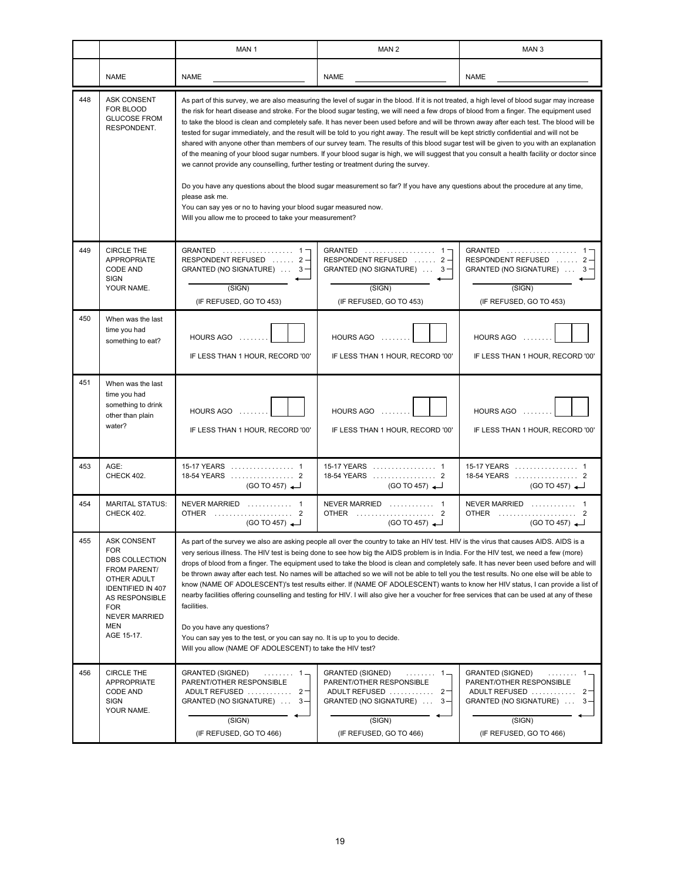|     |                                                                                                                                                                                            | MAN <sub>1</sub>                                                                                                                                                                                                                                                                                                                                                                                                                                                                                                                                                                                                                                                                                                                                                                                                                                                                                                                                                                                                                                                                                                                                                                                                                                   | MAN <sub>2</sub>                                                                                                                                               | MAN <sub>3</sub>                                                                                                                                               |  |  |
|-----|--------------------------------------------------------------------------------------------------------------------------------------------------------------------------------------------|----------------------------------------------------------------------------------------------------------------------------------------------------------------------------------------------------------------------------------------------------------------------------------------------------------------------------------------------------------------------------------------------------------------------------------------------------------------------------------------------------------------------------------------------------------------------------------------------------------------------------------------------------------------------------------------------------------------------------------------------------------------------------------------------------------------------------------------------------------------------------------------------------------------------------------------------------------------------------------------------------------------------------------------------------------------------------------------------------------------------------------------------------------------------------------------------------------------------------------------------------|----------------------------------------------------------------------------------------------------------------------------------------------------------------|----------------------------------------------------------------------------------------------------------------------------------------------------------------|--|--|
|     | <b>NAME</b>                                                                                                                                                                                | <b>NAME</b>                                                                                                                                                                                                                                                                                                                                                                                                                                                                                                                                                                                                                                                                                                                                                                                                                                                                                                                                                                                                                                                                                                                                                                                                                                        | <b>NAME</b>                                                                                                                                                    | <b>NAME</b>                                                                                                                                                    |  |  |
| 448 | <b>ASK CONSENT</b><br>FOR BLOOD<br><b>GLUCOSE FROM</b><br>RESPONDENT.                                                                                                                      | As part of this survey, we are also measuring the level of sugar in the blood. If it is not treated, a high level of blood sugar may increase<br>the risk for heart disease and stroke. For the blood sugar testing, we will need a few drops of blood from a finger. The equipment used<br>to take the blood is clean and completely safe. It has never been used before and will be thrown away after each test. The blood will be<br>tested for sugar immediately, and the result will be told to you right away. The result will be kept strictly confidential and will not be<br>shared with anyone other than members of our survey team. The results of this blood sugar test will be given to you with an explanation<br>of the meaning of your blood sugar numbers. If your blood sugar is high, we will suggest that you consult a health facility or doctor since<br>we cannot provide any counselling, further testing or treatment during the survey.<br>Do you have any questions about the blood sugar measurement so far? If you have any questions about the procedure at any time,<br>please ask me.<br>You can say yes or no to having your blood sugar measured now.<br>Will you allow me to proceed to take your measurement? |                                                                                                                                                                |                                                                                                                                                                |  |  |
| 449 | <b>CIRCLE THE</b><br><b>APPROPRIATE</b><br>CODE AND<br><b>SIGN</b><br>YOUR NAME.                                                                                                           | GRANTED  1-<br>RESPONDENT REFUSED  2-<br>GRANTED (NO SIGNATURE) $\ldots$ 3<br>(SIGN)<br>(IF REFUSED, GO TO 453)                                                                                                                                                                                                                                                                                                                                                                                                                                                                                                                                                                                                                                                                                                                                                                                                                                                                                                                                                                                                                                                                                                                                    | GRANTED  1-<br>RESPONDENT REFUSED  2-<br>GRANTED (NO SIGNATURE) $\ldots$ 3<br>(SIGN)<br>(IF REFUSED, GO TO 453)                                                | GRANTED  1<br>RESPONDENT REFUSED  2<br>GRANTED (NO SIGNATURE)  3<br>(SIGN)<br>(IF REFUSED, GO TO 453)                                                          |  |  |
| 450 | When was the last<br>time you had<br>something to eat?                                                                                                                                     | HOURS AGO<br>IF LESS THAN 1 HOUR, RECORD '00'                                                                                                                                                                                                                                                                                                                                                                                                                                                                                                                                                                                                                                                                                                                                                                                                                                                                                                                                                                                                                                                                                                                                                                                                      | HOURS AGO<br>IF LESS THAN 1 HOUR, RECORD '00'                                                                                                                  | HOURS AGO<br>IF LESS THAN 1 HOUR, RECORD '00'                                                                                                                  |  |  |
| 451 | When was the last<br>time you had<br>something to drink<br>other than plain<br>water?                                                                                                      | HOURS AGO<br>IF LESS THAN 1 HOUR, RECORD '00'                                                                                                                                                                                                                                                                                                                                                                                                                                                                                                                                                                                                                                                                                                                                                                                                                                                                                                                                                                                                                                                                                                                                                                                                      | HOURS AGO<br>IF LESS THAN 1 HOUR, RECORD '00'                                                                                                                  | HOURS AGO<br>IF LESS THAN 1 HOUR, RECORD '00'                                                                                                                  |  |  |
| 453 | AGE:<br>CHECK 402.                                                                                                                                                                         | 15-17 YEARS  1<br>(GO TO 457)                                                                                                                                                                                                                                                                                                                                                                                                                                                                                                                                                                                                                                                                                                                                                                                                                                                                                                                                                                                                                                                                                                                                                                                                                      | 15-17 YEARS  1<br>(GO TO 457)                                                                                                                                  | (GO TO 457)                                                                                                                                                    |  |  |
| 454 | <b>MARITAL STATUS:</b><br>CHECK 402.                                                                                                                                                       | NEVER MARRIED  1<br>OTHER  2<br>(GO TO 457)                                                                                                                                                                                                                                                                                                                                                                                                                                                                                                                                                                                                                                                                                                                                                                                                                                                                                                                                                                                                                                                                                                                                                                                                        | NEVER MARRIED  1<br>OTHER  2<br>(GO TO 457)                                                                                                                    | NEVER MARRIED  1<br>OTHER  2<br>(GO TO 457)                                                                                                                    |  |  |
| 455 | <b>ASK CONSENT</b><br><b>FOR</b><br>DBS COLLECTION<br>FROM PARENT/<br>OTHER ADULT<br><b>IDENTIFIED IN 407</b><br>AS RESPONSIBLE<br><b>FOR</b><br><b>NEVER MARRIED</b><br>MEN<br>AGE 15-17. | As part of the survey we also are asking people all over the country to take an HIV test. HIV is the virus that causes AIDS. AIDS is a<br>very serious illness. The HIV test is being done to see how big the AIDS problem is in India. For the HIV test, we need a few (more)<br>drops of blood from a finger. The equipment used to take the blood is clean and completely safe. It has never been used before and will<br>be thrown away after each test. No names will be attached so we will not be able to tell you the test results. No one else will be able to<br>know (NAME OF ADOLESCENT)'s test results either. If (NAME OF ADOLESCENT) wants to know her HIV status, I can provide a list of<br>nearby facilities offering counselling and testing for HIV. I will also give her a voucher for free services that can be used at any of these<br>facilities.<br>Do you have any questions?<br>You can say yes to the test, or you can say no. It is up to you to decide.<br>Will you allow (NAME OF ADOLESCENT) to take the HIV test?                                                                                                                                                                                                 |                                                                                                                                                                |                                                                                                                                                                |  |  |
| 456 | <b>CIRCLE THE</b><br><b>APPROPRIATE</b><br>CODE AND<br><b>SIGN</b><br>YOUR NAME.                                                                                                           | <b>GRANTED (SIGNED)</b><br>. 1 –<br>PARENT/OTHER RESPONSIBLE<br>ADULT REFUSED  2<br>GRANTED (NO SIGNATURE)<br>$3 -$<br>(SIGN)<br>(IF REFUSED, GO TO 466)                                                                                                                                                                                                                                                                                                                                                                                                                                                                                                                                                                                                                                                                                                                                                                                                                                                                                                                                                                                                                                                                                           | <b>GRANTED (SIGNED)</b><br>. 1 -<br>PARENT/OTHER RESPONSIBLE<br>ADULT REFUSED<br>$2 -$<br>GRANTED (NO SIGNATURE)<br>$3 -$<br>(SIGN)<br>(IF REFUSED, GO TO 466) | <b>GRANTED (SIGNED)</b><br>. 1 -<br>PARENT/OTHER RESPONSIBLE<br>ADULT REFUSED<br>$2 -$<br>GRANTED (NO SIGNATURE)<br>$3 -$<br>(SIGN)<br>(IF REFUSED, GO TO 466) |  |  |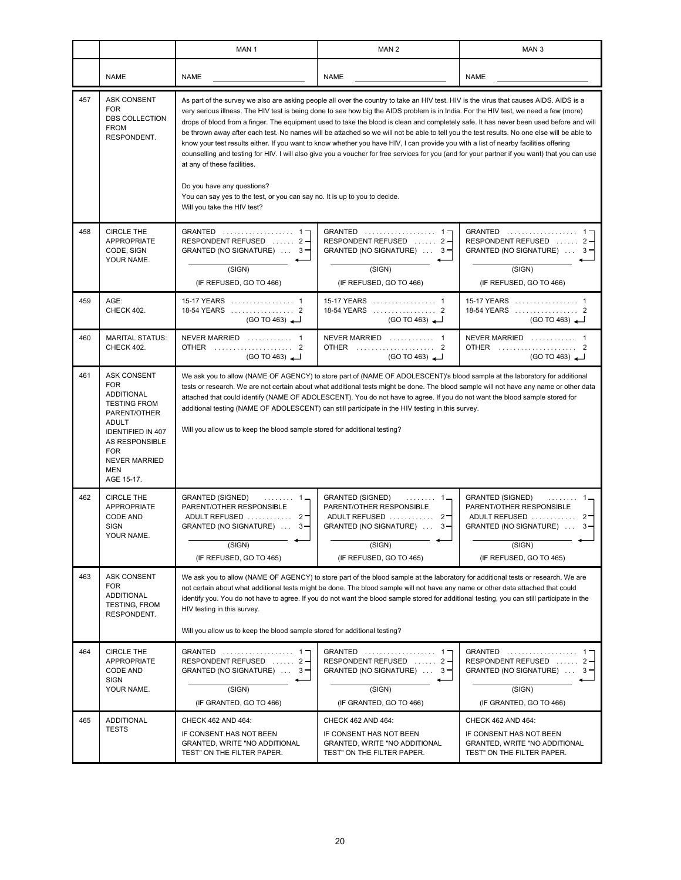|     |                                                                                                                                                                                                                              | MAN <sub>1</sub>                                                                                                                                                                                                                                                                                                                                                                                                                                                                                                                                                                                                                                                                                                                                                                                                                                                                                                                                                                                                                           | MAN <sub>2</sub>                                                                                                                                         | MAN <sub>3</sub>                                                                                                                                            |  |  |
|-----|------------------------------------------------------------------------------------------------------------------------------------------------------------------------------------------------------------------------------|--------------------------------------------------------------------------------------------------------------------------------------------------------------------------------------------------------------------------------------------------------------------------------------------------------------------------------------------------------------------------------------------------------------------------------------------------------------------------------------------------------------------------------------------------------------------------------------------------------------------------------------------------------------------------------------------------------------------------------------------------------------------------------------------------------------------------------------------------------------------------------------------------------------------------------------------------------------------------------------------------------------------------------------------|----------------------------------------------------------------------------------------------------------------------------------------------------------|-------------------------------------------------------------------------------------------------------------------------------------------------------------|--|--|
|     | <b>NAME</b>                                                                                                                                                                                                                  | <b>NAME</b>                                                                                                                                                                                                                                                                                                                                                                                                                                                                                                                                                                                                                                                                                                                                                                                                                                                                                                                                                                                                                                | <b>NAME</b>                                                                                                                                              | <b>NAME</b>                                                                                                                                                 |  |  |
| 457 | <b>ASK CONSENT</b><br><b>FOR</b><br>DBS COLLECTION<br><b>FROM</b><br>RESPONDENT.                                                                                                                                             | As part of the survey we also are asking people all over the country to take an HIV test. HIV is the virus that causes AIDS. AIDS is a<br>very serious illness. The HIV test is being done to see how big the AIDS problem is in India. For the HIV test, we need a few (more)<br>drops of blood from a finger. The equipment used to take the blood is clean and completely safe. It has never been used before and will<br>be thrown away after each test. No names will be attached so we will not be able to tell you the test results. No one else will be able to<br>know your test results either. If you want to know whether you have HIV, I can provide you with a list of nearby facilities offering<br>counselling and testing for HIV. I will also give you a voucher for free services for you (and for your partner if you want) that you can use<br>at any of these facilities.<br>Do you have any questions?<br>You can say yes to the test, or you can say no. It is up to you to decide.<br>Will you take the HIV test? |                                                                                                                                                          |                                                                                                                                                             |  |  |
| 458 | <b>CIRCLE THE</b><br><b>APPROPRIATE</b><br>CODE, SIGN<br>YOUR NAME.                                                                                                                                                          | GRANTED  1-<br>RESPONDENT REFUSED  2-<br>GRANTED (NO SIGNATURE)  3-<br>(SIGN)<br>(IF REFUSED, GO TO 466)                                                                                                                                                                                                                                                                                                                                                                                                                                                                                                                                                                                                                                                                                                                                                                                                                                                                                                                                   | GRANTED  1<br>RESPONDENT REFUSED  2-<br>GRANTED (NO SIGNATURE)  3-<br>(SIGN)<br>(IF REFUSED, GO TO 466)                                                  | GRANTED  1-<br>RESPONDENT REFUSED  2-<br>GRANTED (NO SIGNATURE)  3-<br>(SIGN)<br>(IF REFUSED, GO TO 466)                                                    |  |  |
| 459 | AGE:<br><b>CHECK 402.</b>                                                                                                                                                                                                    | 15-17 YEARS  1<br>18-54 YEARS  2<br>(GO TO 463)                                                                                                                                                                                                                                                                                                                                                                                                                                                                                                                                                                                                                                                                                                                                                                                                                                                                                                                                                                                            | 15-17 YEARS  1<br>18-54 YEARS  2<br>(GO TO 463)                                                                                                          | 15-17 YEARS  1<br>(GO TO 463)                                                                                                                               |  |  |
| 460 | <b>MARITAL STATUS:</b><br>CHECK 402.                                                                                                                                                                                         | NEVER MARRIED  1<br>OTHER  2<br>(GO TO 463)                                                                                                                                                                                                                                                                                                                                                                                                                                                                                                                                                                                                                                                                                                                                                                                                                                                                                                                                                                                                | NEVER MARRIED  1<br>OTHER  2<br>(GO TO 463)                                                                                                              | OTHER  2<br>(GO TO 463)                                                                                                                                     |  |  |
| 461 | <b>ASK CONSENT</b><br><b>FOR</b><br><b>ADDITIONAL</b><br><b>TESTING FROM</b><br>PARENT/OTHER<br><b>ADULT</b><br><b>IDENTIFIED IN 407</b><br>AS RESPONSIBLE<br><b>FOR</b><br><b>NEVER MARRIED</b><br><b>MEN</b><br>AGE 15-17. | We ask you to allow (NAME OF AGENCY) to store part of (NAME OF ADOLESCENT)'s blood sample at the laboratory for additional<br>tests or research. We are not certain about what additional tests might be done. The blood sample will not have any name or other data<br>attached that could identify (NAME OF ADOLESCENT). You do not have to agree. If you do not want the blood sample stored for<br>additional testing (NAME OF ADOLESCENT) can still participate in the HIV testing in this survey.<br>Will you allow us to keep the blood sample stored for additional testing?                                                                                                                                                                                                                                                                                                                                                                                                                                                       |                                                                                                                                                          |                                                                                                                                                             |  |  |
| 462 | <b>CIRCLE THE</b><br><b>APPROPRIATE</b><br>CODE AND<br><b>SIGN</b><br>YOUR NAME.                                                                                                                                             | <b>GRANTED (SIGNED)</b><br>. 1 –<br>PARENT/OTHER RESPONSIBLE<br>ADULT REFUSED  2-<br>GRANTED (NO SIGNATURE)<br>$3 -$<br>(SIGN)<br>(IF REFUSED, GO TO 465)                                                                                                                                                                                                                                                                                                                                                                                                                                                                                                                                                                                                                                                                                                                                                                                                                                                                                  | <b>GRANTED (SIGNED)</b><br>. 1-<br>PARENT/OTHER RESPONSIBLE<br>ADULT REFUSED  2-<br>GRANTED (NO SIGNATURE)<br>$3 -$<br>(SIGN)<br>(IF REFUSED, GO TO 465) | <b>GRANTED (SIGNED)</b><br>. 1 -<br>PARENT/OTHER RESPONSIBLE<br>ADULT REFUSED<br>$2 -$<br>GRANTED (NO SIGNATURE)<br>3-<br>(SIGN)<br>(IF REFUSED, GO TO 465) |  |  |
| 463 | <b>ASK CONSENT</b><br><b>FOR</b><br><b>ADDITIONAL</b><br>TESTING, FROM<br>RESPONDENT.                                                                                                                                        | We ask you to allow (NAME OF AGENCY) to store part of the blood sample at the laboratory for additional tests or research. We are<br>not certain about what additional tests might be done. The blood sample will not have any name or other data attached that could<br>identify you. You do not have to agree. If you do not want the blood sample stored for additional testing, you can still participate in the<br>HIV testing in this survey.<br>Will you allow us to keep the blood sample stored for additional testing?                                                                                                                                                                                                                                                                                                                                                                                                                                                                                                           |                                                                                                                                                          |                                                                                                                                                             |  |  |
| 464 | <b>CIRCLE THE</b><br><b>APPROPRIATE</b><br><b>CODE AND</b><br><b>SIGN</b><br>YOUR NAME.                                                                                                                                      | GRANTED  1-<br>RESPONDENT REFUSED  2-<br>GRANTED (NO SIGNATURE)  3-<br>(SIGN)<br>(IF GRANTED, GO TO 466)                                                                                                                                                                                                                                                                                                                                                                                                                                                                                                                                                                                                                                                                                                                                                                                                                                                                                                                                   | GRANTED  1<br>RESPONDENT REFUSED  2-<br>GRANTED (NO SIGNATURE)  3-<br>(SIGN)<br>(IF GRANTED, GO TO 466)                                                  | GRANTED  1-<br>RESPONDENT REFUSED  2<br>GRANTED (NO SIGNATURE)<br>3<br>(SIGN)<br>(IF GRANTED, GO TO 466)                                                    |  |  |
| 465 | <b>ADDITIONAL</b><br><b>TESTS</b>                                                                                                                                                                                            | CHECK 462 AND 464:<br>IF CONSENT HAS NOT BEEN<br>GRANTED, WRITE "NO ADDITIONAL<br>TEST" ON THE FILTER PAPER.                                                                                                                                                                                                                                                                                                                                                                                                                                                                                                                                                                                                                                                                                                                                                                                                                                                                                                                               | CHECK 462 AND 464:<br>IF CONSENT HAS NOT BEEN<br>GRANTED, WRITE "NO ADDITIONAL<br>TEST" ON THE FILTER PAPER.                                             | CHECK 462 AND 464:<br>IF CONSENT HAS NOT BEEN<br>GRANTED, WRITE "NO ADDITIONAL<br>TEST" ON THE FILTER PAPER.                                                |  |  |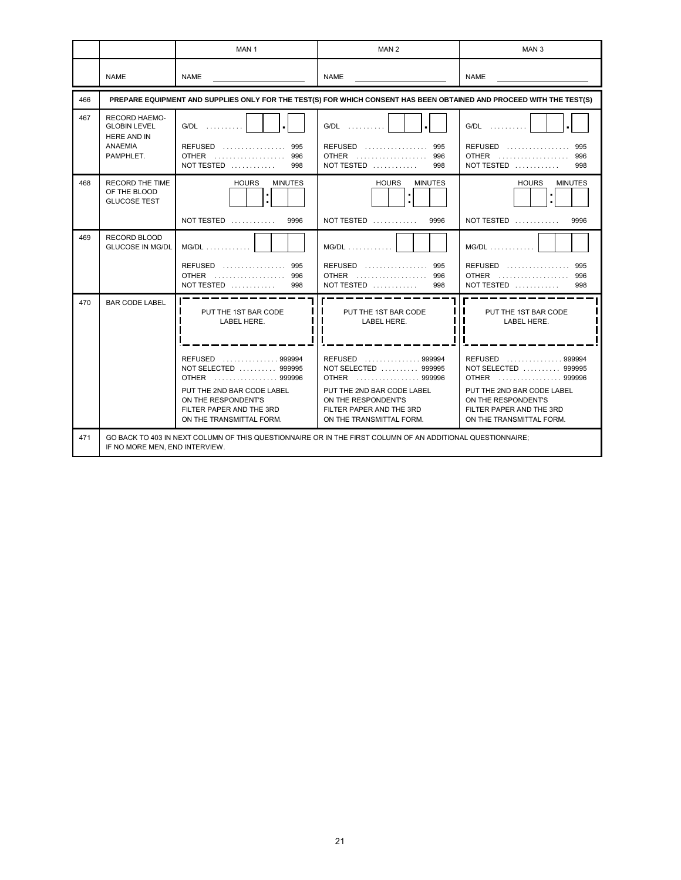|     |                                                                                                  | MAN <sub>1</sub>                                                                                                                                                                                            | MAN <sub>2</sub>                                                                                                                                                                                            | MAN <sub>3</sub>                                                                                                                                                                                            |
|-----|--------------------------------------------------------------------------------------------------|-------------------------------------------------------------------------------------------------------------------------------------------------------------------------------------------------------------|-------------------------------------------------------------------------------------------------------------------------------------------------------------------------------------------------------------|-------------------------------------------------------------------------------------------------------------------------------------------------------------------------------------------------------------|
|     | <b>NAME</b>                                                                                      | <b>NAME</b>                                                                                                                                                                                                 | <b>NAME</b>                                                                                                                                                                                                 | <b>NAME</b>                                                                                                                                                                                                 |
| 466 |                                                                                                  |                                                                                                                                                                                                             | PREPARE EQUIPMENT AND SUPPLIES ONLY FOR THE TEST(S) FOR WHICH CONSENT HAS BEEN OBTAINED AND PROCEED WITH THE TEST(S)                                                                                        |                                                                                                                                                                                                             |
| 467 | <b>RECORD HAEMO-</b><br><b>GLOBIN LEVEL</b><br><b>HERE AND IN</b><br><b>ANAEMIA</b><br>PAMPHLET. | $G/DL$<br>$REFUSED$<br>995<br>OTHER 996<br>NOT TESTED $\ldots \ldots \ldots$<br>998                                                                                                                         | $G/DL$<br>$REFUSED$<br>995<br><b>OTHER</b><br>996<br>NOT TESTED $\ldots \ldots \ldots$<br>998                                                                                                               | G/DL<br><b>REFUSED</b><br>995<br>OTHER<br>996<br>NOT TESTED $\ldots \ldots \ldots$<br>998                                                                                                                   |
| 468 | <b>RECORD THE TIME</b><br>OF THE BLOOD<br><b>GLUCOSE TEST</b>                                    | <b>HOURS</b><br><b>MINUTES</b><br>t<br>NOT TESTED $\ldots \ldots \ldots$<br>9996                                                                                                                            | <b>HOURS</b><br><b>MINUTES</b><br>Î.<br>NOT TESTED $\ldots \ldots \ldots$<br>9996                                                                                                                           | <b>HOURS</b><br><b>MINUTES</b><br>t<br>NOT TESTED $\ldots \ldots \ldots$<br>9996                                                                                                                            |
| 469 | <b>RECORD BLOOD</b><br><b>GLUCOSE IN MG/DL</b>                                                   | $MG/DL$ ,,,,,,,,,,,,<br>REFUSED  995<br>NOT TESTED $\ldots \ldots \ldots$<br>998                                                                                                                            | $MG/DL$ ,,,,,,,,,,<br>REFUSED  995<br><b>OTHER</b><br>996<br>NOT TESTED $\ldots \ldots \ldots$<br>998                                                                                                       | $MG/DL$ ,,,,,,,,,,<br><b>REFUSED</b><br>995<br><b>OTHER</b><br>996<br>NOT TESTED $\ldots \ldots \ldots$<br>998                                                                                              |
| 470 | <b>BAR CODE LABEL</b>                                                                            | PUT THE 1ST BAR CODE<br>LABEL HERE.<br>REFUSED 999994<br>NOT SELECTED  999995<br>OTHER  999996<br>PUT THE 2ND BAR CODE LABEL<br>ON THE RESPONDENT'S<br>FILTER PAPER AND THE 3RD<br>ON THE TRANSMITTAL FORM. | PUT THE 1ST BAR CODE<br>LABEL HERE.<br>REFUSED 999994<br>NOT SELECTED  999995<br>OTHER  999996<br>PUT THE 2ND BAR CODE LABEL<br>ON THE RESPONDENT'S<br>FILTER PAPER AND THE 3RD<br>ON THE TRANSMITTAL FORM. | PUT THE 1ST BAR CODE<br>LABEL HERE.<br>REFUSED 999994<br>NOT SELECTED  999995<br>OTHER  999996<br>PUT THE 2ND BAR CODE LABEL<br>ON THE RESPONDENT'S<br>FILTER PAPER AND THE 3RD<br>ON THE TRANSMITTAL FORM. |
| 471 | IF NO MORE MEN. END INTERVIEW.                                                                   |                                                                                                                                                                                                             | GO BACK TO 403 IN NEXT COLUMN OF THIS QUESTIONNAIRE OR IN THE FIRST COLUMN OF AN ADDITIONAL QUESTIONNAIRE;                                                                                                  |                                                                                                                                                                                                             |